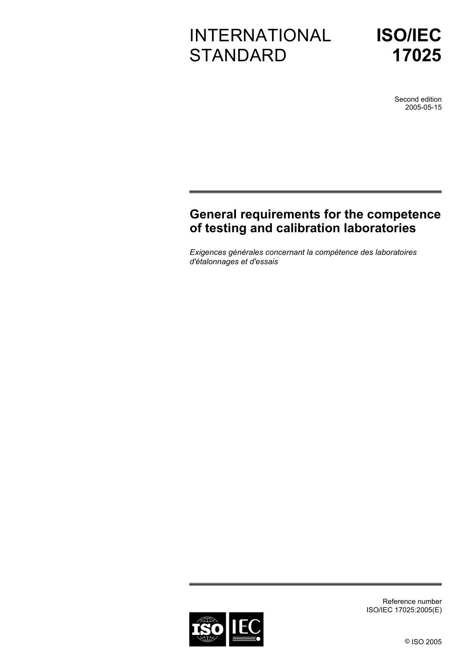# INTERNATIONAL **STANDARD**

**ISO/IEC 17025**

> Second edition 2005-05-15

# **General requirements for the competence of testing and calibration laboratories**

*Exigences générales concernant la compétence des laboratoires d'étalonnages et d'essais* 



Reference number ISO/IEC 17025:2005(E)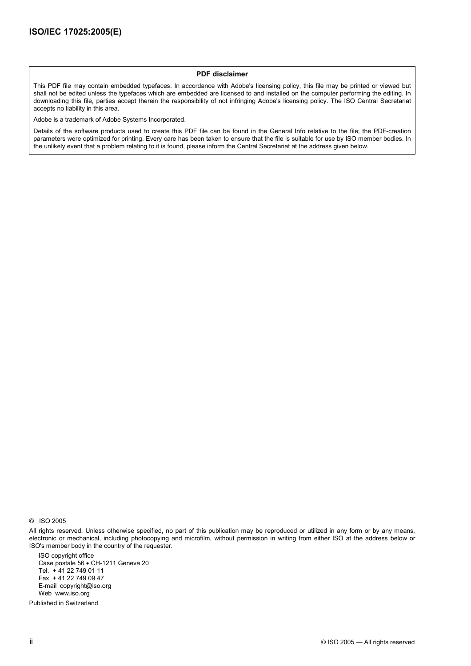#### **PDF disclaimer**

This PDF file may contain embedded typefaces. In accordance with Adobe's licensing policy, this file may be printed or viewed but shall not be edited unless the typefaces which are embedded are licensed to and installed on the computer performing the editing. In downloading this file, parties accept therein the responsibility of not infringing Adobe's licensing policy. The ISO Central Secretariat accepts no liability in this area.

Adobe is a trademark of Adobe Systems Incorporated.

Details of the software products used to create this PDF file can be found in the General Info relative to the file; the PDF-creation parameters were optimized for printing. Every care has been taken to ensure that the file is suitable for use by ISO member bodies. In the unlikely event that a problem relating to it is found, please inform the Central Secretariat at the address given below.

© ISO 2005

All rights reserved. Unless otherwise specified, no part of this publication may be reproduced or utilized in any form or by any means, electronic or mechanical, including photocopying and microfilm, without permission in writing from either ISO at the address below or ISO's member body in the country of the requester.

ISO copyright office Case postale 56 • CH-1211 Geneva 20 Tel. + 41 22 749 01 11 Fax + 41 22 749 09 47 E-mail copyright@iso.org Web www.iso.org

Published in Switzerland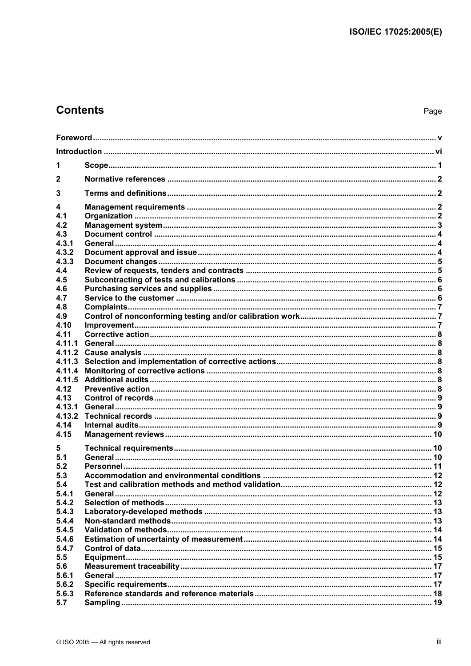# **Contents**

| 1            |  |  |  |  |  |
|--------------|--|--|--|--|--|
|              |  |  |  |  |  |
| $\mathbf{2}$ |  |  |  |  |  |
| 3            |  |  |  |  |  |
| 4            |  |  |  |  |  |
| 4.1          |  |  |  |  |  |
| 4.2          |  |  |  |  |  |
| 4.3          |  |  |  |  |  |
| 4.3.1        |  |  |  |  |  |
| 4.3.2        |  |  |  |  |  |
| 4.3.3        |  |  |  |  |  |
| 4.4          |  |  |  |  |  |
| 4.5          |  |  |  |  |  |
| 4.6          |  |  |  |  |  |
| 4.7          |  |  |  |  |  |
| 4.8          |  |  |  |  |  |
| 4.9          |  |  |  |  |  |
| 4.10         |  |  |  |  |  |
| 4.11         |  |  |  |  |  |
| 4 11 1       |  |  |  |  |  |
| 4.11.2       |  |  |  |  |  |
| 4.11.3       |  |  |  |  |  |
| 4.11.4       |  |  |  |  |  |
| 4.11.5       |  |  |  |  |  |
| 4.12         |  |  |  |  |  |
| 4.13         |  |  |  |  |  |
| 4.13.1       |  |  |  |  |  |
| 4.13.2       |  |  |  |  |  |
| 4.14<br>4.15 |  |  |  |  |  |
|              |  |  |  |  |  |
| 5            |  |  |  |  |  |
| 5.1          |  |  |  |  |  |
| 5.2          |  |  |  |  |  |
| 5.3          |  |  |  |  |  |
| 5.4          |  |  |  |  |  |
| 5.4.1        |  |  |  |  |  |
| 5.4.2        |  |  |  |  |  |
| 5.4.3        |  |  |  |  |  |
| 5.4.4        |  |  |  |  |  |
| 5.4.5        |  |  |  |  |  |
| 5.4.6        |  |  |  |  |  |
| 5.4.7        |  |  |  |  |  |
| 5.5          |  |  |  |  |  |
| 5.6          |  |  |  |  |  |
| 5.6.1        |  |  |  |  |  |
| 5.6.2        |  |  |  |  |  |
| 5.6.3        |  |  |  |  |  |
| 5.7          |  |  |  |  |  |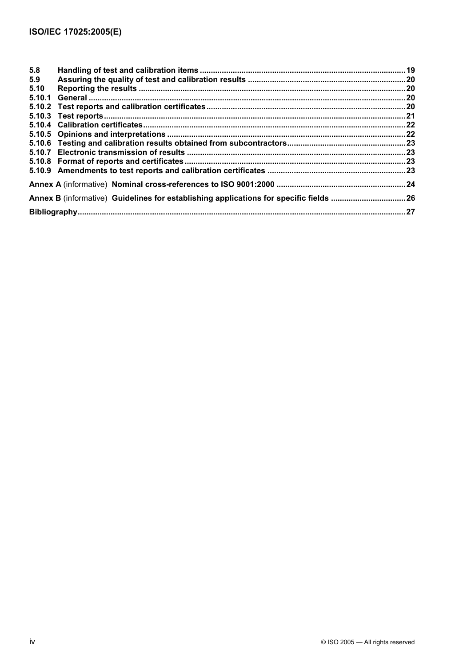| 5.8    |  |  |  |
|--------|--|--|--|
| 5.9    |  |  |  |
| 5.10   |  |  |  |
| 5.10.1 |  |  |  |
|        |  |  |  |
|        |  |  |  |
|        |  |  |  |
|        |  |  |  |
|        |  |  |  |
|        |  |  |  |
|        |  |  |  |
|        |  |  |  |
|        |  |  |  |
|        |  |  |  |
|        |  |  |  |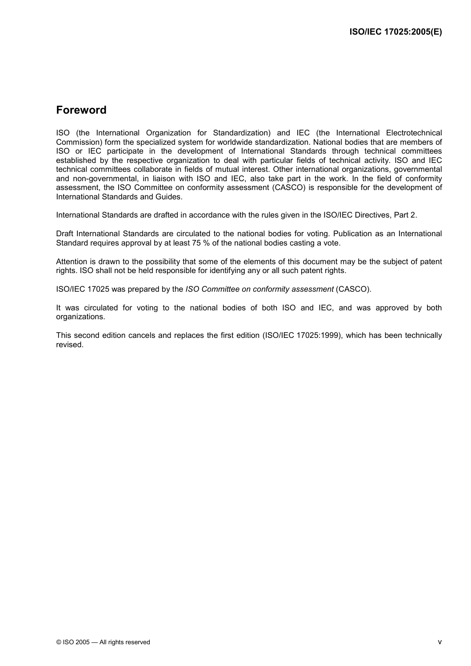# **Foreword**

ISO (the International Organization for Standardization) and IEC (the International Electrotechnical Commission) form the specialized system for worldwide standardization. National bodies that are members of ISO or IEC participate in the development of International Standards through technical committees established by the respective organization to deal with particular fields of technical activity. ISO and IEC technical committees collaborate in fields of mutual interest. Other international organizations, governmental and non-governmental, in liaison with ISO and IEC, also take part in the work. In the field of conformity assessment, the ISO Committee on conformity assessment (CASCO) is responsible for the development of International Standards and Guides.

International Standards are drafted in accordance with the rules given in the ISO/IEC Directives, Part 2.

Draft International Standards are circulated to the national bodies for voting. Publication as an International Standard requires approval by at least 75 % of the national bodies casting a vote.

Attention is drawn to the possibility that some of the elements of this document may be the subject of patent rights. ISO shall not be held responsible for identifying any or all such patent rights.

ISO/IEC 17025 was prepared by the *ISO Committee on conformity assessment* (CASCO).

It was circulated for voting to the national bodies of both ISO and IEC, and was approved by both organizations.

This second edition cancels and replaces the first edition (ISO/IEC 17025:1999), which has been technically revised.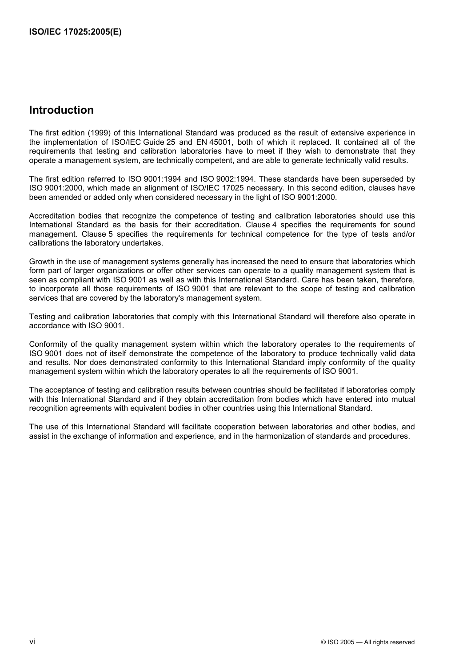# **Introduction**

The first edition (1999) of this International Standard was produced as the result of extensive experience in the implementation of ISO/IEC Guide 25 and EN 45001, both of which it replaced. It contained all of the requirements that testing and calibration laboratories have to meet if they wish to demonstrate that they operate a management system, are technically competent, and are able to generate technically valid results.

The first edition referred to ISO 9001:1994 and ISO 9002:1994. These standards have been superseded by ISO 9001:2000, which made an alignment of ISO/IEC 17025 necessary. In this second edition, clauses have been amended or added only when considered necessary in the light of ISO 9001:2000.

Accreditation bodies that recognize the competence of testing and calibration laboratories should use this International Standard as the basis for their accreditation. Clause 4 specifies the requirements for sound management. Clause 5 specifies the requirements for technical competence for the type of tests and/or calibrations the laboratory undertakes.

Growth in the use of management systems generally has increased the need to ensure that laboratories which form part of larger organizations or offer other services can operate to a quality management system that is seen as compliant with ISO 9001 as well as with this International Standard. Care has been taken, therefore, to incorporate all those requirements of ISO 9001 that are relevant to the scope of testing and calibration services that are covered by the laboratory's management system.

Testing and calibration laboratories that comply with this International Standard will therefore also operate in accordance with ISO 9001.

Conformity of the quality management system within which the laboratory operates to the requirements of ISO 9001 does not of itself demonstrate the competence of the laboratory to produce technically valid data and results. Nor does demonstrated conformity to this International Standard imply conformity of the quality management system within which the laboratory operates to all the requirements of ISO 9001.

The acceptance of testing and calibration results between countries should be facilitated if laboratories comply with this International Standard and if they obtain accreditation from bodies which have entered into mutual recognition agreements with equivalent bodies in other countries using this International Standard.

The use of this International Standard will facilitate cooperation between laboratories and other bodies, and assist in the exchange of information and experience, and in the harmonization of standards and procedures.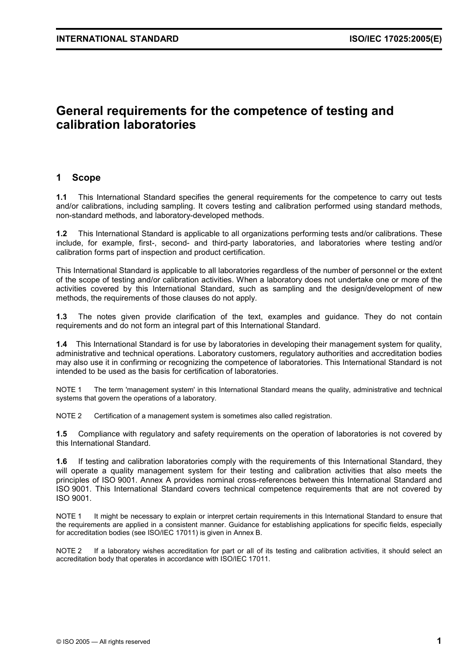# **General requirements for the competence of testing and calibration laboratories**

# **1 Scope**

**1.1** This International Standard specifies the general requirements for the competence to carry out tests and/or calibrations, including sampling. It covers testing and calibration performed using standard methods, non-standard methods, and laboratory-developed methods.

**1.2** This International Standard is applicable to all organizations performing tests and/or calibrations. These include, for example, first-, second- and third-party laboratories, and laboratories where testing and/or calibration forms part of inspection and product certification.

This International Standard is applicable to all laboratories regardless of the number of personnel or the extent of the scope of testing and/or calibration activities. When a laboratory does not undertake one or more of the activities covered by this International Standard, such as sampling and the design/development of new methods, the requirements of those clauses do not apply.

**1.3** The notes given provide clarification of the text, examples and guidance. They do not contain requirements and do not form an integral part of this International Standard.

**1.4** This International Standard is for use by laboratories in developing their management system for quality, administrative and technical operations. Laboratory customers, regulatory authorities and accreditation bodies may also use it in confirming or recognizing the competence of laboratories. This International Standard is not intended to be used as the basis for certification of laboratories.

NOTE 1 The term 'management system' in this International Standard means the quality, administrative and technical systems that govern the operations of a laboratory.

NOTE 2 Certification of a management system is sometimes also called registration.

**1.5** Compliance with regulatory and safety requirements on the operation of laboratories is not covered by this International Standard.

**1.6** If testing and calibration laboratories comply with the requirements of this International Standard, they will operate a quality management system for their testing and calibration activities that also meets the principles of ISO 9001. Annex A provides nominal cross-references between this International Standard and ISO 9001. This International Standard covers technical competence requirements that are not covered by ISO 9001.

NOTE 1 It might be necessary to explain or interpret certain requirements in this International Standard to ensure that the requirements are applied in a consistent manner. Guidance for establishing applications for specific fields, especially for accreditation bodies (see ISO/IEC 17011) is given in Annex B.

NOTE 2 If a laboratory wishes accreditation for part or all of its testing and calibration activities, it should select an accreditation body that operates in accordance with ISO/IEC 17011.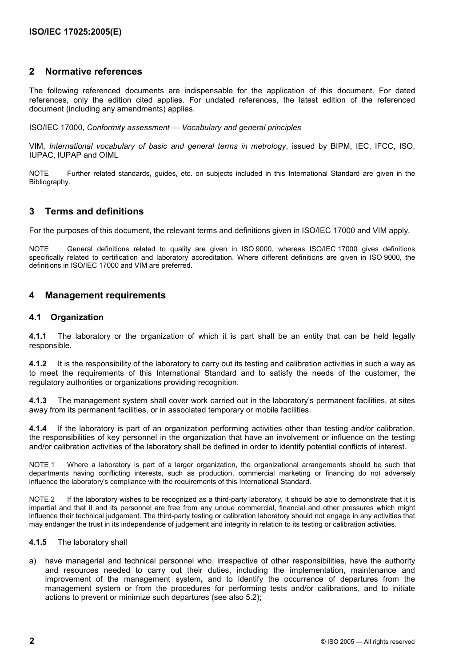# **2 Normative references**

The following referenced documents are indispensable for the application of this document. For dated references, only the edition cited applies. For undated references, the latest edition of the referenced document (including any amendments) applies.

ISO/IEC 17000, *Conformity assessment — Vocabulary and general principles*

VIM, *International vocabulary of basic and general terms in metrology*, issued by BIPM, IEC, IFCC, ISO, IUPAC, IUPAP and OIML

NOTE Further related standards, guides, etc. on subjects included in this International Standard are given in the Bibliography.

# **3 Terms and definitions**

For the purposes of this document, the relevant terms and definitions given in ISO/IEC 17000 and VIM apply.

NOTE General definitions related to quality are given in ISO 9000, whereas ISO/IEC 17000 gives definitions specifically related to certification and laboratory accreditation. Where different definitions are given in ISO 9000, the definitions in ISO/IEC 17000 and VIM are preferred.

# **4 Management requirements**

# **4.1 Organization**

**4.1.1** The laboratory or the organization of which it is part shall be an entity that can be held legally responsible.

**4.1.2** It is the responsibility of the laboratory to carry out its testing and calibration activities in such a way as to meet the requirements of this International Standard and to satisfy the needs of the customer, the regulatory authorities or organizations providing recognition.

**4.1.3** The management system shall cover work carried out in the laboratory's permanent facilities, at sites away from its permanent facilities, or in associated temporary or mobile facilities.

**4.1.4** If the laboratory is part of an organization performing activities other than testing and/or calibration, the responsibilities of key personnel in the organization that have an involvement or influence on the testing and/or calibration activities of the laboratory shall be defined in order to identify potential conflicts of interest.

NOTE 1 Where a laboratory is part of a larger organization, the organizational arrangements should be such that departments having conflicting interests, such as production, commercial marketing or financing do not adversely influence the laboratory's compliance with the requirements of this International Standard.

NOTE 2 If the laboratory wishes to be recognized as a third-party laboratory, it should be able to demonstrate that it is impartial and that it and its personnel are free from any undue commercial, financial and other pressures which might influence their technical judgement. The third-party testing or calibration laboratory should not engage in any activities that may endanger the trust in its independence of judgement and integrity in relation to its testing or calibration activities.

#### **4.1.5** The laboratory shall

a) have managerial and technical personnel who, irrespective of other responsibilities, have the authority and resources needed to carry out their duties, including the implementation, maintenance and improvement of the management system**,** and to identify the occurrence of departures from the management system or from the procedures for performing tests and/or calibrations, and to initiate actions to prevent or minimize such departures (see also 5.2);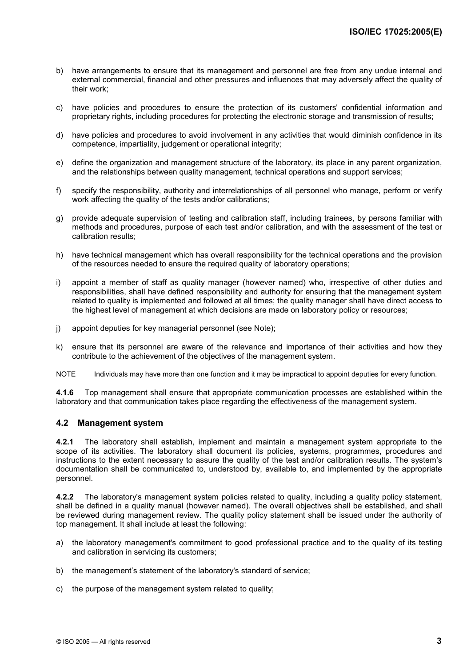- b) have arrangements to ensure that its management and personnel are free from any undue internal and external commercial, financial and other pressures and influences that may adversely affect the quality of their work;
- c) have policies and procedures to ensure the protection of its customers' confidential information and proprietary rights, including procedures for protecting the electronic storage and transmission of results;
- d) have policies and procedures to avoid involvement in any activities that would diminish confidence in its competence, impartiality, judgement or operational integrity;
- e) define the organization and management structure of the laboratory, its place in any parent organization, and the relationships between quality management, technical operations and support services;
- f) specify the responsibility, authority and interrelationships of all personnel who manage, perform or verify work affecting the quality of the tests and/or calibrations;
- g) provide adequate supervision of testing and calibration staff, including trainees, by persons familiar with methods and procedures, purpose of each test and/or calibration, and with the assessment of the test or calibration results;
- h) have technical management which has overall responsibility for the technical operations and the provision of the resources needed to ensure the required quality of laboratory operations;
- i) appoint a member of staff as quality manager (however named) who, irrespective of other duties and responsibilities, shall have defined responsibility and authority for ensuring that the management system related to quality is implemented and followed at all times; the quality manager shall have direct access to the highest level of management at which decisions are made on laboratory policy or resources;
- j) appoint deputies for key managerial personnel (see Note);
- k) ensure that its personnel are aware of the relevance and importance of their activities and how they contribute to the achievement of the objectives of the management system.
- NOTE Individuals may have more than one function and it may be impractical to appoint deputies for every function.

**4.1.6** Top management shall ensure that appropriate communication processes are established within the laboratory and that communication takes place regarding the effectiveness of the management system.

# **4.2 Management system**

**4.2.1** The laboratory shall establish, implement and maintain a management system appropriate to the scope of its activities. The laboratory shall document its policies, systems, programmes, procedures and instructions to the extent necessary to assure the quality of the test and/or calibration results. The system's documentation shall be communicated to, understood by, available to, and implemented by the appropriate personnel.

**4.2.2** The laboratory's management system policies related to quality, including a quality policy statement, shall be defined in a quality manual (however named). The overall objectives shall be established, and shall be reviewed during management review. The quality policy statement shall be issued under the authority of top management. It shall include at least the following:

- a) the laboratory management's commitment to good professional practice and to the quality of its testing and calibration in servicing its customers;
- b) the management's statement of the laboratory's standard of service;
- c) the purpose of the management system related to quality;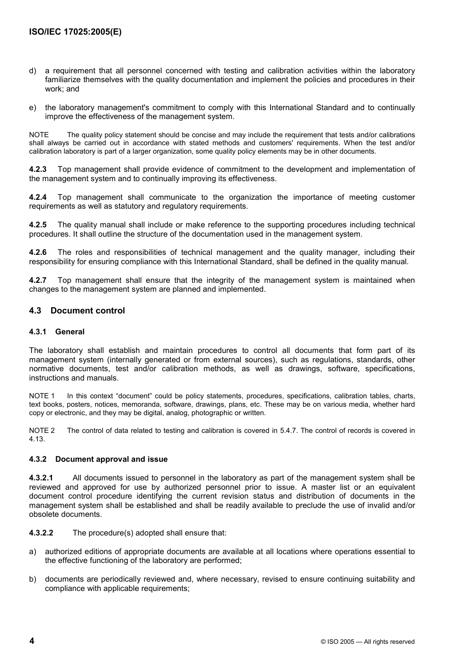- d) a requirement that all personnel concerned with testing and calibration activities within the laboratory familiarize themselves with the quality documentation and implement the policies and procedures in their work; and
- e) the laboratory management's commitment to comply with this International Standard and to continually improve the effectiveness of the management system.

NOTE The quality policy statement should be concise and may include the requirement that tests and/or calibrations shall always be carried out in accordance with stated methods and customers' requirements. When the test and/or calibration laboratory is part of a larger organization, some quality policy elements may be in other documents.

**4.2.3** Top management shall provide evidence of commitment to the development and implementation of the management system and to continually improving its effectiveness.

**4.2.4** Top management shall communicate to the organization the importance of meeting customer requirements as well as statutory and regulatory requirements.

**4.2.5** The quality manual shall include or make reference to the supporting procedures including technical procedures. It shall outline the structure of the documentation used in the management system.

**4.2.6** The roles and responsibilities of technical management and the quality manager, including their responsibility for ensuring compliance with this International Standard, shall be defined in the quality manual.

**4.2.7** Top management shall ensure that the integrity of the management system is maintained when changes to the management system are planned and implemented.

# **4.3 Document control**

#### **4.3.1 General**

The laboratory shall establish and maintain procedures to control all documents that form part of its management system (internally generated or from external sources), such as regulations, standards, other normative documents, test and/or calibration methods, as well as drawings, software, specifications, instructions and manuals.

NOTE 1 In this context "document" could be policy statements, procedures, specifications, calibration tables, charts, text books, posters, notices, memoranda, software, drawings, plans, etc. These may be on various media, whether hard copy or electronic, and they may be digital, analog, photographic or written.

NOTE 2 The control of data related to testing and calibration is covered in 5.4.7. The control of records is covered in 4.13.

#### **4.3.2 Document approval and issue**

**4.3.2.1** All documents issued to personnel in the laboratory as part of the management system shall be reviewed and approved for use by authorized personnel prior to issue. A master list or an equivalent document control procedure identifying the current revision status and distribution of documents in the management system shall be established and shall be readily available to preclude the use of invalid and/or obsolete documents.

**4.3.2.2** The procedure(s) adopted shall ensure that:

- a) authorized editions of appropriate documents are available at all locations where operations essential to the effective functioning of the laboratory are performed;
- b) documents are periodically reviewed and, where necessary, revised to ensure continuing suitability and compliance with applicable requirements;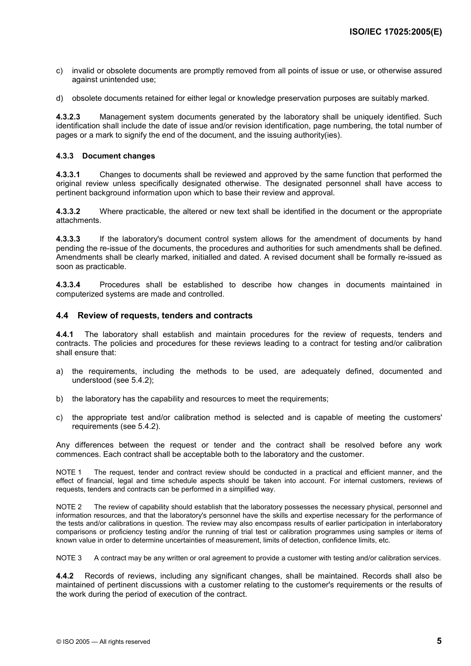- c) invalid or obsolete documents are promptly removed from all points of issue or use, or otherwise assured against unintended use;
- d) obsolete documents retained for either legal or knowledge preservation purposes are suitably marked.

**4.3.2.3** Management system documents generated by the laboratory shall be uniquely identified. Such identification shall include the date of issue and/or revision identification, page numbering, the total number of pages or a mark to signify the end of the document, and the issuing authority(ies).

# **4.3.3 Document changes**

**4.3.3.1** Changes to documents shall be reviewed and approved by the same function that performed the original review unless specifically designated otherwise. The designated personnel shall have access to pertinent background information upon which to base their review and approval.

**4.3.3.2** Where practicable, the altered or new text shall be identified in the document or the appropriate attachments.

**4.3.3.3** If the laboratory's document control system allows for the amendment of documents by hand pending the re-issue of the documents, the procedures and authorities for such amendments shall be defined. Amendments shall be clearly marked, initialled and dated. A revised document shall be formally re-issued as soon as practicable.

**4.3.3.4** Procedures shall be established to describe how changes in documents maintained in computerized systems are made and controlled.

# **4.4 Review of requests, tenders and contracts**

**4.4.1** The laboratory shall establish and maintain procedures for the review of requests, tenders and contracts. The policies and procedures for these reviews leading to a contract for testing and/or calibration shall ensure that:

- a) the requirements, including the methods to be used, are adequately defined, documented and understood (see 5.4.2);
- b) the laboratory has the capability and resources to meet the requirements;
- c) the appropriate test and/or calibration method is selected and is capable of meeting the customers' requirements (see 5.4.2).

Any differences between the request or tender and the contract shall be resolved before any work commences. Each contract shall be acceptable both to the laboratory and the customer.

NOTE 1 The request, tender and contract review should be conducted in a practical and efficient manner, and the effect of financial, legal and time schedule aspects should be taken into account. For internal customers, reviews of requests, tenders and contracts can be performed in a simplified way.

NOTE 2 The review of capability should establish that the laboratory possesses the necessary physical, personnel and information resources, and that the laboratory's personnel have the skills and expertise necessary for the performance of the tests and/or calibrations in question. The review may also encompass results of earlier participation in interlaboratory comparisons or proficiency testing and/or the running of trial test or calibration programmes using samples or items of known value in order to determine uncertainties of measurement, limits of detection, confidence limits, etc.

NOTE 3 A contract may be any written or oral agreement to provide a customer with testing and/or calibration services.

**4.4.2** Records of reviews, including any significant changes, shall be maintained. Records shall also be maintained of pertinent discussions with a customer relating to the customer's requirements or the results of the work during the period of execution of the contract.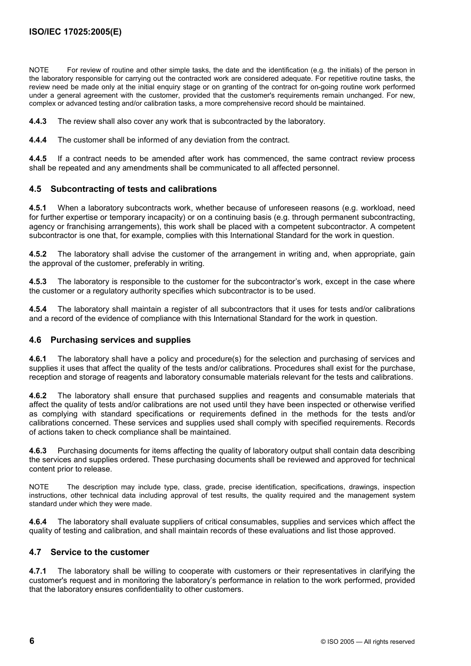NOTE For review of routine and other simple tasks, the date and the identification (e.g. the initials) of the person in the laboratory responsible for carrying out the contracted work are considered adequate. For repetitive routine tasks, the review need be made only at the initial enquiry stage or on granting of the contract for on-going routine work performed under a general agreement with the customer, provided that the customer's requirements remain unchanged. For new, complex or advanced testing and/or calibration tasks, a more comprehensive record should be maintained.

**4.4.3** The review shall also cover any work that is subcontracted by the laboratory.

**4.4.4** The customer shall be informed of any deviation from the contract.

**4.4.5** If a contract needs to be amended after work has commenced, the same contract review process shall be repeated and any amendments shall be communicated to all affected personnel.

# **4.5 Subcontracting of tests and calibrations**

**4.5.1** When a laboratory subcontracts work, whether because of unforeseen reasons (e.g. workload, need for further expertise or temporary incapacity) or on a continuing basis (e.g. through permanent subcontracting, agency or franchising arrangements), this work shall be placed with a competent subcontractor. A competent subcontractor is one that, for example, complies with this International Standard for the work in question.

**4.5.2** The laboratory shall advise the customer of the arrangement in writing and, when appropriate, gain the approval of the customer, preferably in writing.

**4.5.3** The laboratory is responsible to the customer for the subcontractor's work, except in the case where the customer or a regulatory authority specifies which subcontractor is to be used.

**4.5.4** The laboratory shall maintain a register of all subcontractors that it uses for tests and/or calibrations and a record of the evidence of compliance with this International Standard for the work in question.

# **4.6 Purchasing services and supplies**

**4.6.1** The laboratory shall have a policy and procedure(s) for the selection and purchasing of services and supplies it uses that affect the quality of the tests and/or calibrations. Procedures shall exist for the purchase, reception and storage of reagents and laboratory consumable materials relevant for the tests and calibrations.

**4.6.2** The laboratory shall ensure that purchased supplies and reagents and consumable materials that affect the quality of tests and/or calibrations are not used until they have been inspected or otherwise verified as complying with standard specifications or requirements defined in the methods for the tests and/or calibrations concerned. These services and supplies used shall comply with specified requirements. Records of actions taken to check compliance shall be maintained.

**4.6.3** Purchasing documents for items affecting the quality of laboratory output shall contain data describing the services and supplies ordered. These purchasing documents shall be reviewed and approved for technical content prior to release.

NOTE The description may include type, class, grade, precise identification, specifications, drawings, inspection instructions, other technical data including approval of test results, the quality required and the management system standard under which they were made.

**4.6.4** The laboratory shall evaluate suppliers of critical consumables, supplies and services which affect the quality of testing and calibration, and shall maintain records of these evaluations and list those approved.

# **4.7 Service to the customer**

**4.7.1** The laboratory shall be willing to cooperate with customers or their representatives in clarifying the customer's request and in monitoring the laboratory's performance in relation to the work performed, provided that the laboratory ensures confidentiality to other customers.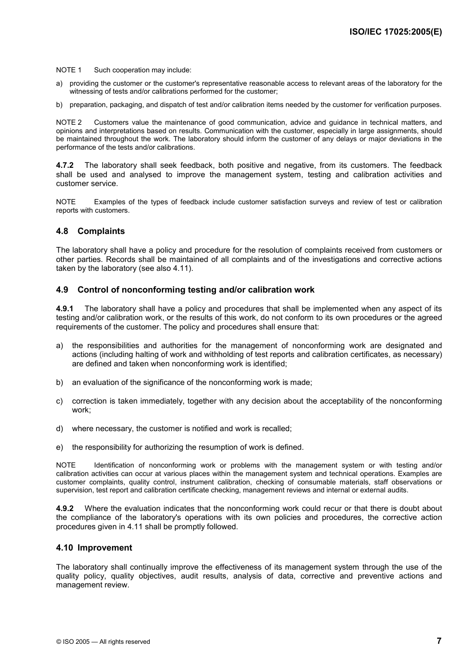NOTE 1 Such cooperation may include:

- a) providing the customer or the customer's representative reasonable access to relevant areas of the laboratory for the witnessing of tests and/or calibrations performed for the customer;
- b) preparation, packaging, and dispatch of test and/or calibration items needed by the customer for verification purposes.

NOTE 2 Customers value the maintenance of good communication, advice and guidance in technical matters, and opinions and interpretations based on results. Communication with the customer, especially in large assignments, should be maintained throughout the work. The laboratory should inform the customer of any delays or major deviations in the performance of the tests and/or calibrations.

**4.7.2** The laboratory shall seek feedback, both positive and negative, from its customers. The feedback shall be used and analysed to improve the management system, testing and calibration activities and customer service.

NOTE Examples of the types of feedback include customer satisfaction surveys and review of test or calibration reports with customers.

#### **4.8 Complaints**

The laboratory shall have a policy and procedure for the resolution of complaints received from customers or other parties. Records shall be maintained of all complaints and of the investigations and corrective actions taken by the laboratory (see also 4.11).

#### **4.9 Control of nonconforming testing and/or calibration work**

**4.9.1** The laboratory shall have a policy and procedures that shall be implemented when any aspect of its testing and/or calibration work, or the results of this work, do not conform to its own procedures or the agreed requirements of the customer. The policy and procedures shall ensure that:

- a) the responsibilities and authorities for the management of nonconforming work are designated and actions (including halting of work and withholding of test reports and calibration certificates, as necessary) are defined and taken when nonconforming work is identified;
- b) an evaluation of the significance of the nonconforming work is made;
- c) correction is taken immediately, together with any decision about the acceptability of the nonconforming work;
- d) where necessary, the customer is notified and work is recalled;
- e) the responsibility for authorizing the resumption of work is defined.

NOTE Identification of nonconforming work or problems with the management system or with testing and/or calibration activities can occur at various places within the management system and technical operations. Examples are customer complaints, quality control, instrument calibration, checking of consumable materials, staff observations or supervision, test report and calibration certificate checking, management reviews and internal or external audits.

**4.9.2** Where the evaluation indicates that the nonconforming work could recur or that there is doubt about the compliance of the laboratory's operations with its own policies and procedures, the corrective action procedures given in 4.11 shall be promptly followed.

#### **4.10 Improvement**

The laboratory shall continually improve the effectiveness of its management system through the use of the quality policy, quality objectives, audit results, analysis of data, corrective and preventive actions and management review.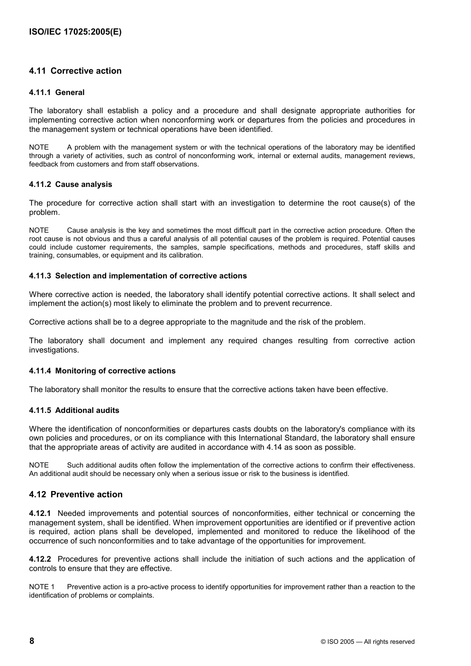# **4.11 Corrective action**

# **4.11.1 General**

The laboratory shall establish a policy and a procedure and shall designate appropriate authorities for implementing corrective action when nonconforming work or departures from the policies and procedures in the management system or technical operations have been identified.

NOTE A problem with the management system or with the technical operations of the laboratory may be identified through a variety of activities, such as control of nonconforming work, internal or external audits, management reviews, feedback from customers and from staff observations.

# **4.11.2 Cause analysis**

The procedure for corrective action shall start with an investigation to determine the root cause(s) of the problem.

NOTE Cause analysis is the key and sometimes the most difficult part in the corrective action procedure. Often the root cause is not obvious and thus a careful analysis of all potential causes of the problem is required. Potential causes could include customer requirements, the samples, sample specifications, methods and procedures, staff skills and training, consumables, or equipment and its calibration.

# **4.11.3 Selection and implementation of corrective actions**

Where corrective action is needed, the laboratory shall identify potential corrective actions. It shall select and implement the action(s) most likely to eliminate the problem and to prevent recurrence.

Corrective actions shall be to a degree appropriate to the magnitude and the risk of the problem.

The laboratory shall document and implement any required changes resulting from corrective action investigations.

#### **4.11.4 Monitoring of corrective actions**

The laboratory shall monitor the results to ensure that the corrective actions taken have been effective.

#### **4.11.5 Additional audits**

Where the identification of nonconformities or departures casts doubts on the laboratory's compliance with its own policies and procedures, or on its compliance with this International Standard, the laboratory shall ensure that the appropriate areas of activity are audited in accordance with 4.14 as soon as possible.

NOTE Such additional audits often follow the implementation of the corrective actions to confirm their effectiveness. An additional audit should be necessary only when a serious issue or risk to the business is identified.

# **4.12 Preventive action**

**4.12.1** Needed improvements and potential sources of nonconformities, either technical or concerning the management system, shall be identified. When improvement opportunities are identified or if preventive action is required, action plans shall be developed, implemented and monitored to reduce the likelihood of the occurrence of such nonconformities and to take advantage of the opportunities for improvement.

**4.12.2** Procedures for preventive actions shall include the initiation of such actions and the application of controls to ensure that they are effective.

NOTE 1 Preventive action is a pro-active process to identify opportunities for improvement rather than a reaction to the identification of problems or complaints.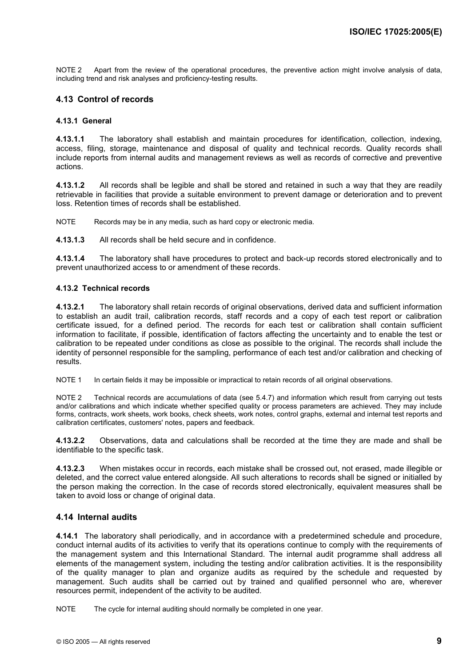NOTE 2 Apart from the review of the operational procedures, the preventive action might involve analysis of data, including trend and risk analyses and proficiency-testing results.

# **4.13 Control of records**

#### **4.13.1 General**

**4.13.1.1** The laboratory shall establish and maintain procedures for identification, collection, indexing, access, filing, storage, maintenance and disposal of quality and technical records. Quality records shall include reports from internal audits and management reviews as well as records of corrective and preventive actions.

**4.13.1.2** All records shall be legible and shall be stored and retained in such a way that they are readily retrievable in facilities that provide a suitable environment to prevent damage or deterioration and to prevent loss. Retention times of records shall be established.

NOTE Records may be in any media, such as hard copy or electronic media.

**4.13.1.3** All records shall be held secure and in confidence.

**4.13.1.4** The laboratory shall have procedures to protect and back-up records stored electronically and to prevent unauthorized access to or amendment of these records.

#### **4.13.2 Technical records**

**4.13.2.1** The laboratory shall retain records of original observations, derived data and sufficient information to establish an audit trail, calibration records, staff records and a copy of each test report or calibration certificate issued, for a defined period. The records for each test or calibration shall contain sufficient information to facilitate, if possible, identification of factors affecting the uncertainty and to enable the test or calibration to be repeated under conditions as close as possible to the original. The records shall include the identity of personnel responsible for the sampling, performance of each test and/or calibration and checking of results.

NOTE 1 In certain fields it may be impossible or impractical to retain records of all original observations.

NOTE 2 Technical records are accumulations of data (see 5.4.7) and information which result from carrying out tests and/or calibrations and which indicate whether specified quality or process parameters are achieved. They may include forms, contracts, work sheets, work books, check sheets, work notes, control graphs, external and internal test reports and calibration certificates, customers' notes, papers and feedback.

**4.13.2.2** Observations, data and calculations shall be recorded at the time they are made and shall be identifiable to the specific task.

**4.13.2.3** When mistakes occur in records, each mistake shall be crossed out, not erased, made illegible or deleted, and the correct value entered alongside. All such alterations to records shall be signed or initialled by the person making the correction. In the case of records stored electronically, equivalent measures shall be taken to avoid loss or change of original data.

# **4.14 Internal audits**

**4.14.1** The laboratory shall periodically, and in accordance with a predetermined schedule and procedure, conduct internal audits of its activities to verify that its operations continue to comply with the requirements of the management system and this International Standard. The internal audit programme shall address all elements of the management system, including the testing and/or calibration activities. It is the responsibility of the quality manager to plan and organize audits as required by the schedule and requested by management. Such audits shall be carried out by trained and qualified personnel who are, wherever resources permit, independent of the activity to be audited.

NOTE The cycle for internal auditing should normally be completed in one year.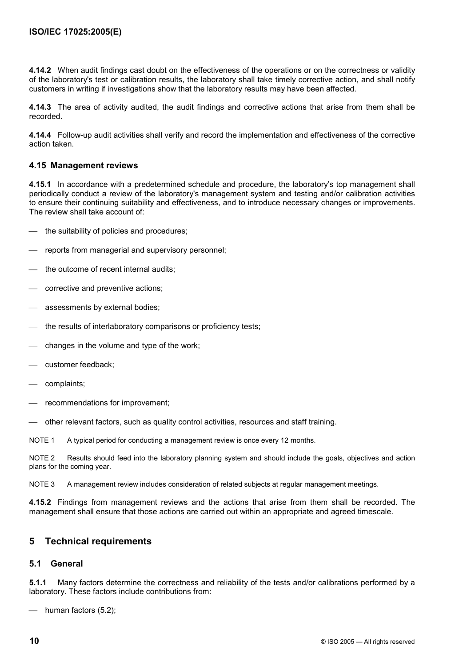**4.14.2** When audit findings cast doubt on the effectiveness of the operations or on the correctness or validity of the laboratory's test or calibration results, the laboratory shall take timely corrective action, and shall notify customers in writing if investigations show that the laboratory results may have been affected.

**4.14.3** The area of activity audited, the audit findings and corrective actions that arise from them shall be recorded.

**4.14.4** Follow-up audit activities shall verify and record the implementation and effectiveness of the corrective action taken.

# **4.15 Management reviews**

**4.15.1** In accordance with a predetermined schedule and procedure, the laboratory's top management shall periodically conduct a review of the laboratory's management system and testing and/or calibration activities to ensure their continuing suitability and effectiveness, and to introduce necessary changes or improvements. The review shall take account of:

- the suitability of policies and procedures;
- reports from managerial and supervisory personnel;
- the outcome of recent internal audits;
- corrective and preventive actions;
- assessments by external bodies;
- the results of interlaboratory comparisons or proficiency tests;
- changes in the volume and type of the work;
- customer feedback;
- complaints;
- recommendations for improvement;
- other relevant factors, such as quality control activities, resources and staff training.

NOTE 1 A typical period for conducting a management review is once every 12 months.

NOTE 2 Results should feed into the laboratory planning system and should include the goals, objectives and action plans for the coming year.

NOTE 3 A management review includes consideration of related subjects at regular management meetings.

**4.15.2** Findings from management reviews and the actions that arise from them shall be recorded. The management shall ensure that those actions are carried out within an appropriate and agreed timescale.

# **5 Technical requirements**

# **5.1 General**

**5.1.1** Many factors determine the correctness and reliability of the tests and/or calibrations performed by a laboratory. These factors include contributions from:

human factors (5.2);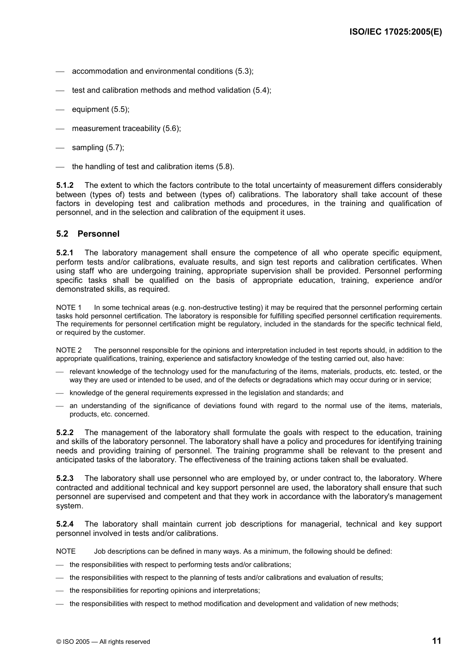- accommodation and environmental conditions (5.3);
- $-$  test and calibration methods and method validation (5.4);
- $-$  equipment  $(5.5)$ ;
- measurement traceability (5.6);
- sampling (5.7);
- $\mu$  the handling of test and calibration items (5.8).

**5.1.2** The extent to which the factors contribute to the total uncertainty of measurement differs considerably between (types of) tests and between (types of) calibrations. The laboratory shall take account of these factors in developing test and calibration methods and procedures, in the training and qualification of personnel, and in the selection and calibration of the equipment it uses.

# **5.2 Personnel**

**5.2.1** The laboratory management shall ensure the competence of all who operate specific equipment, perform tests and/or calibrations, evaluate results, and sign test reports and calibration certificates. When using staff who are undergoing training, appropriate supervision shall be provided. Personnel performing specific tasks shall be qualified on the basis of appropriate education, training, experience and/or demonstrated skills, as required.

NOTE 1 In some technical areas (e.g. non-destructive testing) it may be required that the personnel performing certain tasks hold personnel certification. The laboratory is responsible for fulfilling specified personnel certification requirements. The requirements for personnel certification might be regulatory, included in the standards for the specific technical field, or required by the customer.

NOTE 2 The personnel responsible for the opinions and interpretation included in test reports should, in addition to the appropriate qualifications, training, experience and satisfactory knowledge of the testing carried out, also have:

- relevant knowledge of the technology used for the manufacturing of the items, materials, products, etc. tested, or the way they are used or intended to be used, and of the defects or degradations which may occur during or in service;
- knowledge of the general requirements expressed in the legislation and standards; and
- an understanding of the significance of deviations found with regard to the normal use of the items, materials, products, etc. concerned.

**5.2.2** The management of the laboratory shall formulate the goals with respect to the education, training and skills of the laboratory personnel. The laboratory shall have a policy and procedures for identifying training needs and providing training of personnel. The training programme shall be relevant to the present and anticipated tasks of the laboratory. The effectiveness of the training actions taken shall be evaluated.

**5.2.3** The laboratory shall use personnel who are employed by, or under contract to, the laboratory. Where contracted and additional technical and key support personnel are used, the laboratory shall ensure that such personnel are supervised and competent and that they work in accordance with the laboratory's management system.

**5.2.4** The laboratory shall maintain current job descriptions for managerial, technical and key support personnel involved in tests and/or calibrations.

NOTE Job descriptions can be defined in many ways. As a minimum, the following should be defined:

 $-$  the responsibilities with respect to performing tests and/or calibrations;

- the responsibilities with respect to the planning of tests and/or calibrations and evaluation of results;
- the responsibilities for reporting opinions and interpretations;
- the responsibilities with respect to method modification and development and validation of new methods;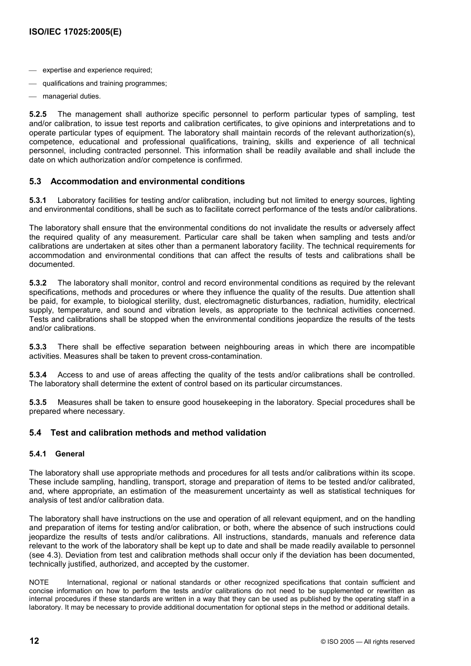- expertise and experience required;
- qualifications and training programmes;
- managerial duties.

**5.2.5** The management shall authorize specific personnel to perform particular types of sampling, test and/or calibration, to issue test reports and calibration certificates, to give opinions and interpretations and to operate particular types of equipment. The laboratory shall maintain records of the relevant authorization(s), competence, educational and professional qualifications, training, skills and experience of all technical personnel, including contracted personnel. This information shall be readily available and shall include the date on which authorization and/or competence is confirmed.

# **5.3 Accommodation and environmental conditions**

**5.3.1** Laboratory facilities for testing and/or calibration, including but not limited to energy sources, lighting and environmental conditions, shall be such as to facilitate correct performance of the tests and/or calibrations.

The laboratory shall ensure that the environmental conditions do not invalidate the results or adversely affect the required quality of any measurement. Particular care shall be taken when sampling and tests and/or calibrations are undertaken at sites other than a permanent laboratory facility. The technical requirements for accommodation and environmental conditions that can affect the results of tests and calibrations shall be documented.

**5.3.2** The laboratory shall monitor, control and record environmental conditions as required by the relevant specifications, methods and procedures or where they influence the quality of the results. Due attention shall be paid, for example, to biological sterility, dust, electromagnetic disturbances, radiation, humidity, electrical supply, temperature, and sound and vibration levels, as appropriate to the technical activities concerned. Tests and calibrations shall be stopped when the environmental conditions jeopardize the results of the tests and/or calibrations.

**5.3.3** There shall be effective separation between neighbouring areas in which there are incompatible activities. Measures shall be taken to prevent cross-contamination.

**5.3.4** Access to and use of areas affecting the quality of the tests and/or calibrations shall be controlled. The laboratory shall determine the extent of control based on its particular circumstances.

**5.3.5** Measures shall be taken to ensure good housekeeping in the laboratory. Special procedures shall be prepared where necessary.

# **5.4 Test and calibration methods and method validation**

#### **5.4.1 General**

The laboratory shall use appropriate methods and procedures for all tests and/or calibrations within its scope. These include sampling, handling, transport, storage and preparation of items to be tested and/or calibrated, and, where appropriate, an estimation of the measurement uncertainty as well as statistical techniques for analysis of test and/or calibration data.

The laboratory shall have instructions on the use and operation of all relevant equipment, and on the handling and preparation of items for testing and/or calibration, or both, where the absence of such instructions could jeopardize the results of tests and/or calibrations. All instructions, standards, manuals and reference data relevant to the work of the laboratory shall be kept up to date and shall be made readily available to personnel (see 4.3). Deviation from test and calibration methods shall occur only if the deviation has been documented, technically justified, authorized, and accepted by the customer.

NOTE International, regional or national standards or other recognized specifications that contain sufficient and concise information on how to perform the tests and/or calibrations do not need to be supplemented or rewritten as internal procedures if these standards are written in a way that they can be used as published by the operating staff in a laboratory. It may be necessary to provide additional documentation for optional steps in the method or additional details.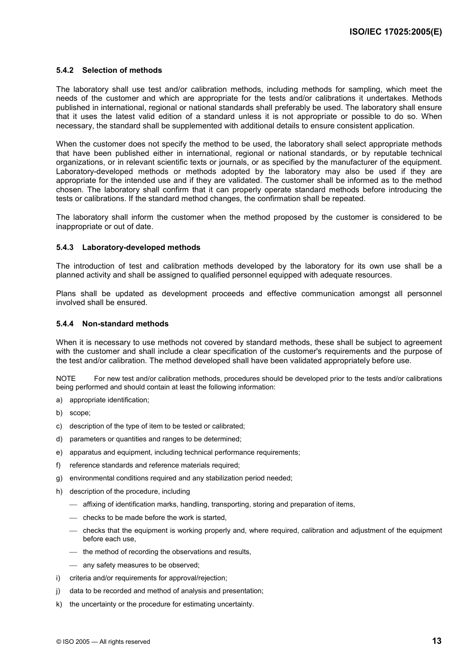#### **5.4.2 Selection of methods**

The laboratory shall use test and/or calibration methods, including methods for sampling, which meet the needs of the customer and which are appropriate for the tests and/or calibrations it undertakes. Methods published in international, regional or national standards shall preferably be used. The laboratory shall ensure that it uses the latest valid edition of a standard unless it is not appropriate or possible to do so. When necessary, the standard shall be supplemented with additional details to ensure consistent application.

When the customer does not specify the method to be used, the laboratory shall select appropriate methods that have been published either in international, regional or national standards, or by reputable technical organizations, or in relevant scientific texts or journals, or as specified by the manufacturer of the equipment. Laboratory-developed methods or methods adopted by the laboratory may also be used if they are appropriate for the intended use and if they are validated. The customer shall be informed as to the method chosen. The laboratory shall confirm that it can properly operate standard methods before introducing the tests or calibrations. If the standard method changes, the confirmation shall be repeated.

The laboratory shall inform the customer when the method proposed by the customer is considered to be inappropriate or out of date.

#### **5.4.3 Laboratory-developed methods**

The introduction of test and calibration methods developed by the laboratory for its own use shall be a planned activity and shall be assigned to qualified personnel equipped with adequate resources.

Plans shall be updated as development proceeds and effective communication amongst all personnel involved shall be ensured.

#### **5.4.4 Non-standard methods**

When it is necessary to use methods not covered by standard methods, these shall be subject to agreement with the customer and shall include a clear specification of the customer's requirements and the purpose of the test and/or calibration. The method developed shall have been validated appropriately before use.

NOTE For new test and/or calibration methods, procedures should be developed prior to the tests and/or calibrations being performed and should contain at least the following information:

- a) appropriate identification;
- b) scope;
- c) description of the type of item to be tested or calibrated;
- d) parameters or quantities and ranges to be determined;
- e) apparatus and equipment, including technical performance requirements;
- f) reference standards and reference materials required;
- g) environmental conditions required and any stabilization period needed;
- h) description of the procedure, including
	- affixing of identification marks, handling, transporting, storing and preparation of items,
	- checks to be made before the work is started,
	- checks that the equipment is working properly and, where required, calibration and adjustment of the equipment before each use,
	- $\frac{1}{1}$  the method of recording the observations and results,
	- any safety measures to be observed;
- i) criteria and/or requirements for approval/rejection;
- j) data to be recorded and method of analysis and presentation;
- k) the uncertainty or the procedure for estimating uncertainty.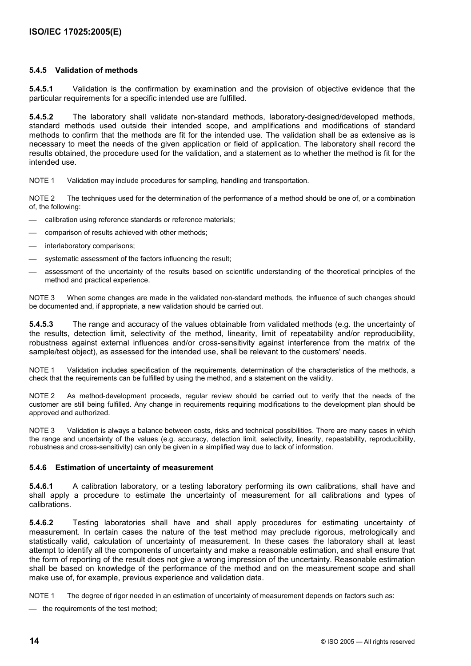# **5.4.5 Validation of methods**

**5.4.5.1** Validation is the confirmation by examination and the provision of objective evidence that the particular requirements for a specific intended use are fulfilled.

**5.4.5.2** The laboratory shall validate non-standard methods, laboratory-designed/developed methods, standard methods used outside their intended scope, and amplifications and modifications of standard methods to confirm that the methods are fit for the intended use. The validation shall be as extensive as is necessary to meet the needs of the given application or field of application. The laboratory shall record the results obtained, the procedure used for the validation, and a statement as to whether the method is fit for the intended use.

NOTE 1 Validation may include procedures for sampling, handling and transportation.

NOTE 2 The techniques used for the determination of the performance of a method should be one of, or a combination of, the following:

- calibration using reference standards or reference materials;
- comparison of results achieved with other methods;
- interlaboratory comparisons;
- systematic assessment of the factors influencing the result;
- assessment of the uncertainty of the results based on scientific understanding of the theoretical principles of the method and practical experience.

NOTE 3 When some changes are made in the validated non-standard methods, the influence of such changes should be documented and, if appropriate, a new validation should be carried out.

**5.4.5.3** The range and accuracy of the values obtainable from validated methods (e.g. the uncertainty of the results, detection limit, selectivity of the method, linearity, limit of repeatability and/or reproducibility, robustness against external influences and/or cross-sensitivity against interference from the matrix of the sample/test object), as assessed for the intended use, shall be relevant to the customers' needs.

NOTE 1 Validation includes specification of the requirements, determination of the characteristics of the methods, a check that the requirements can be fulfilled by using the method, and a statement on the validity.

NOTE 2 As method-development proceeds, regular review should be carried out to verify that the needs of the customer are still being fulfilled. Any change in requirements requiring modifications to the development plan should be approved and authorized.

NOTE 3 Validation is always a balance between costs, risks and technical possibilities. There are many cases in which the range and uncertainty of the values (e.g. accuracy, detection limit, selectivity, linearity, repeatability, reproducibility, robustness and cross-sensitivity) can only be given in a simplified way due to lack of information.

#### **5.4.6 Estimation of uncertainty of measurement**

**5.4.6.1** A calibration laboratory, or a testing laboratory performing its own calibrations, shall have and shall apply a procedure to estimate the uncertainty of measurement for all calibrations and types of calibrations.

**5.4.6.2** Testing laboratories shall have and shall apply procedures for estimating uncertainty of measurement. In certain cases the nature of the test method may preclude rigorous, metrologically and statistically valid, calculation of uncertainty of measurement. In these cases the laboratory shall at least attempt to identify all the components of uncertainty and make a reasonable estimation, and shall ensure that the form of reporting of the result does not give a wrong impression of the uncertainty. Reasonable estimation shall be based on knowledge of the performance of the method and on the measurement scope and shall make use of, for example, previous experience and validation data.

NOTE 1 The degree of rigor needed in an estimation of uncertainty of measurement depends on factors such as:

- the requirements of the test method;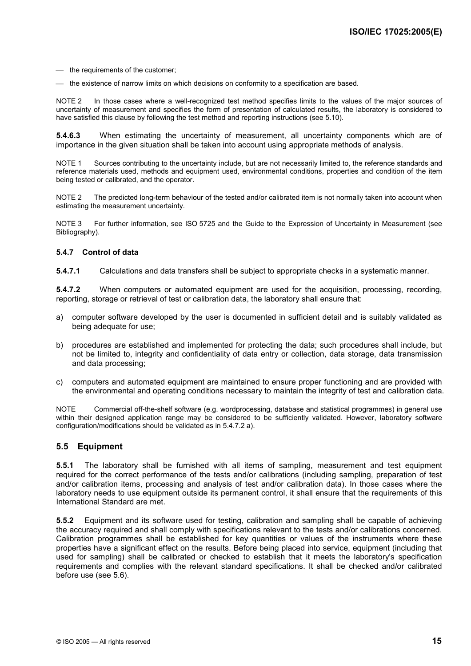- $\frac{1}{1}$  the requirements of the customer:
- the existence of narrow limits on which decisions on conformity to a specification are based.

NOTE 2 In those cases where a well-recognized test method specifies limits to the values of the major sources of uncertainty of measurement and specifies the form of presentation of calculated results, the laboratory is considered to have satisfied this clause by following the test method and reporting instructions (see 5.10).

**5.4.6.3** When estimating the uncertainty of measurement, all uncertainty components which are of importance in the given situation shall be taken into account using appropriate methods of analysis.

NOTE 1 Sources contributing to the uncertainty include, but are not necessarily limited to, the reference standards and reference materials used, methods and equipment used, environmental conditions, properties and condition of the item being tested or calibrated, and the operator.

NOTE 2 The predicted long-term behaviour of the tested and/or calibrated item is not normally taken into account when estimating the measurement uncertainty.

NOTE 3 For further information, see ISO 5725 and the Guide to the Expression of Uncertainty in Measurement (see Bibliography).

#### **5.4.7 Control of data**

**5.4.7.1** Calculations and data transfers shall be subject to appropriate checks in a systematic manner.

**5.4.7.2** When computers or automated equipment are used for the acquisition, processing, recording, reporting, storage or retrieval of test or calibration data, the laboratory shall ensure that:

- a) computer software developed by the user is documented in sufficient detail and is suitably validated as being adequate for use;
- b) procedures are established and implemented for protecting the data; such procedures shall include, but not be limited to, integrity and confidentiality of data entry or collection, data storage, data transmission and data processing;
- c) computers and automated equipment are maintained to ensure proper functioning and are provided with the environmental and operating conditions necessary to maintain the integrity of test and calibration data.

NOTE Commercial off-the-shelf software (e.g. wordprocessing, database and statistical programmes) in general use within their designed application range may be considered to be sufficiently validated. However, laboratory software configuration/modifications should be validated as in 5.4.7.2 a).

# **5.5 Equipment**

**5.5.1** The laboratory shall be furnished with all items of sampling, measurement and test equipment required for the correct performance of the tests and/or calibrations (including sampling, preparation of test and/or calibration items, processing and analysis of test and/or calibration data). In those cases where the laboratory needs to use equipment outside its permanent control, it shall ensure that the requirements of this International Standard are met.

**5.5.2** Equipment and its software used for testing, calibration and sampling shall be capable of achieving the accuracy required and shall comply with specifications relevant to the tests and/or calibrations concerned. Calibration programmes shall be established for key quantities or values of the instruments where these properties have a significant effect on the results. Before being placed into service, equipment (including that used for sampling) shall be calibrated or checked to establish that it meets the laboratory's specification requirements and complies with the relevant standard specifications. It shall be checked and/or calibrated before use (see 5.6).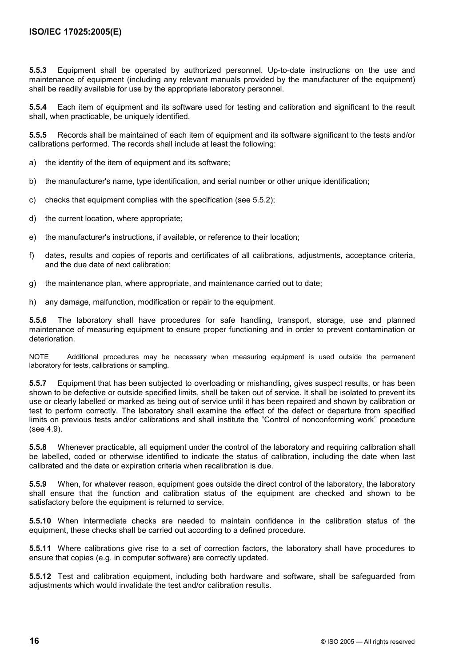**5.5.3** Equipment shall be operated by authorized personnel. Up-to-date instructions on the use and maintenance of equipment (including any relevant manuals provided by the manufacturer of the equipment) shall be readily available for use by the appropriate laboratory personnel.

**5.5.4** Each item of equipment and its software used for testing and calibration and significant to the result shall, when practicable, be uniquely identified.

**5.5.5** Records shall be maintained of each item of equipment and its software significant to the tests and/or calibrations performed. The records shall include at least the following:

a) the identity of the item of equipment and its software;

- b) the manufacturer's name, type identification, and serial number or other unique identification;
- c) checks that equipment complies with the specification (see 5.5.2);
- d) the current location, where appropriate;
- e) the manufacturer's instructions, if available, or reference to their location;
- f) dates, results and copies of reports and certificates of all calibrations, adjustments, acceptance criteria, and the due date of next calibration;
- g) the maintenance plan, where appropriate, and maintenance carried out to date;
- h) any damage, malfunction, modification or repair to the equipment.

**5.5.6** The laboratory shall have procedures for safe handling, transport, storage, use and planned maintenance of measuring equipment to ensure proper functioning and in order to prevent contamination or deterioration.

NOTE Additional procedures may be necessary when measuring equipment is used outside the permanent laboratory for tests, calibrations or sampling.

**5.5.7** Equipment that has been subjected to overloading or mishandling, gives suspect results, or has been shown to be defective or outside specified limits, shall be taken out of service. It shall be isolated to prevent its use or clearly labelled or marked as being out of service until it has been repaired and shown by calibration or test to perform correctly. The laboratory shall examine the effect of the defect or departure from specified limits on previous tests and/or calibrations and shall institute the "Control of nonconforming work" procedure (see 4.9).

**5.5.8** Whenever practicable, all equipment under the control of the laboratory and requiring calibration shall be labelled, coded or otherwise identified to indicate the status of calibration, including the date when last calibrated and the date or expiration criteria when recalibration is due.

**5.5.9** When, for whatever reason, equipment goes outside the direct control of the laboratory, the laboratory shall ensure that the function and calibration status of the equipment are checked and shown to be satisfactory before the equipment is returned to service.

**5.5.10** When intermediate checks are needed to maintain confidence in the calibration status of the equipment, these checks shall be carried out according to a defined procedure.

**5.5.11** Where calibrations give rise to a set of correction factors, the laboratory shall have procedures to ensure that copies (e.g. in computer software) are correctly updated.

**5.5.12** Test and calibration equipment, including both hardware and software, shall be safeguarded from adjustments which would invalidate the test and/or calibration results.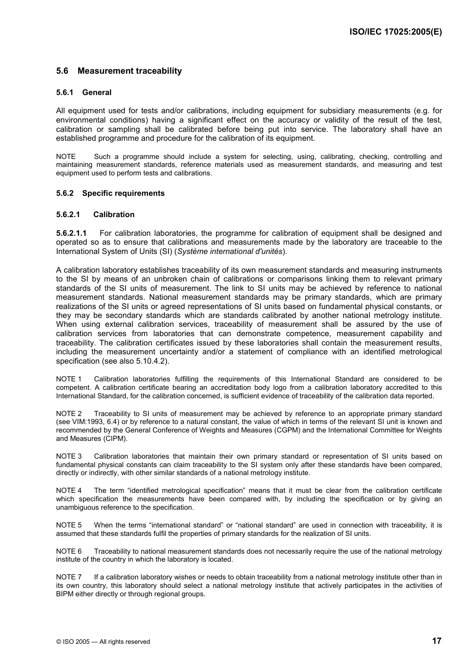# **5.6 Measurement traceability**

#### **5.6.1 General**

All equipment used for tests and/or calibrations, including equipment for subsidiary measurements (e.g. for environmental conditions) having a significant effect on the accuracy or validity of the result of the test, calibration or sampling shall be calibrated before being put into service. The laboratory shall have an established programme and procedure for the calibration of its equipment.

NOTE Such a programme should include a system for selecting, using, calibrating, checking, controlling and maintaining measurement standards, reference materials used as measurement standards, and measuring and test equipment used to perform tests and calibrations.

#### **5.6.2 Specific requirements**

#### **5.6.2.1 Calibration**

**5.6.2.1.1** For calibration laboratories, the programme for calibration of equipment shall be designed and operated so as to ensure that calibrations and measurements made by the laboratory are traceable to the International System of Units (SI) (*Système international d'unités*).

A calibration laboratory establishes traceability of its own measurement standards and measuring instruments to the SI by means of an unbroken chain of calibrations or comparisons linking them to relevant primary standards of the SI units of measurement. The link to SI units may be achieved by reference to national measurement standards. National measurement standards may be primary standards, which are primary realizations of the SI units or agreed representations of SI units based on fundamental physical constants, or they may be secondary standards which are standards calibrated by another national metrology institute. When using external calibration services, traceability of measurement shall be assured by the use of calibration services from laboratories that can demonstrate competence, measurement capability and traceability. The calibration certificates issued by these laboratories shall contain the measurement results, including the measurement uncertainty and/or a statement of compliance with an identified metrological specification (see also 5.10.4.2).

NOTE 1 Calibration laboratories fulfilling the requirements of this International Standard are considered to be competent. A calibration certificate bearing an accreditation body logo from a calibration laboratory accredited to this International Standard, for the calibration concerned, is sufficient evidence of traceability of the calibration data reported.

NOTE 2 Traceability to SI units of measurement may be achieved by reference to an appropriate primary standard (see VIM:1993, 6.4) or by reference to a natural constant, the value of which in terms of the relevant SI unit is known and recommended by the General Conference of Weights and Measures (CGPM) and the International Committee for Weights and Measures (CIPM).

NOTE 3 Calibration laboratories that maintain their own primary standard or representation of SI units based on fundamental physical constants can claim traceability to the SI system only after these standards have been compared, directly or indirectly, with other similar standards of a national metrology institute.

NOTE 4 The term "identified metrological specification" means that it must be clear from the calibration certificate which specification the measurements have been compared with, by including the specification or by giving an unambiguous reference to the specification.

NOTE 5 When the terms "international standard" or "national standard" are used in connection with traceability, it is assumed that these standards fulfil the properties of primary standards for the realization of SI units.

NOTE 6 Traceability to national measurement standards does not necessarily require the use of the national metrology institute of the country in which the laboratory is located.

NOTE 7 If a calibration laboratory wishes or needs to obtain traceability from a national metrology institute other than in its own country, this laboratory should select a national metrology institute that actively participates in the activities of BIPM either directly or through regional groups.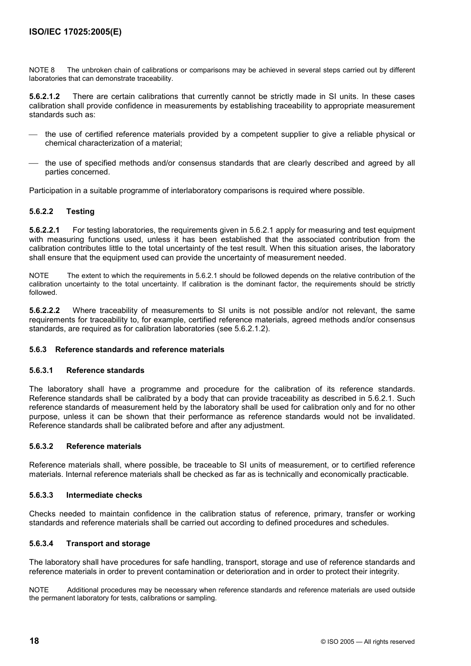NOTE 8 The unbroken chain of calibrations or comparisons may be achieved in several steps carried out by different laboratories that can demonstrate traceability.

**5.6.2.1.2** There are certain calibrations that currently cannot be strictly made in SI units. In these cases calibration shall provide confidence in measurements by establishing traceability to appropriate measurement standards such as:

- the use of certified reference materials provided by a competent supplier to give a reliable physical or chemical characterization of a material;
- the use of specified methods and/or consensus standards that are clearly described and agreed by all parties concerned.

Participation in a suitable programme of interlaboratory comparisons is required where possible.

# **5.6.2.2 Testing**

**5.6.2.2.1** For testing laboratories, the requirements given in 5.6.2.1 apply for measuring and test equipment with measuring functions used, unless it has been established that the associated contribution from the calibration contributes little to the total uncertainty of the test result. When this situation arises, the laboratory shall ensure that the equipment used can provide the uncertainty of measurement needed.

NOTE The extent to which the requirements in 5.6.2.1 should be followed depends on the relative contribution of the calibration uncertainty to the total uncertainty. If calibration is the dominant factor, the requirements should be strictly followed.

**5.6.2.2.2** Where traceability of measurements to SI units is not possible and/or not relevant, the same requirements for traceability to, for example, certified reference materials, agreed methods and/or consensus standards, are required as for calibration laboratories (see 5.6.2.1.2).

#### **5.6.3 Reference standards and reference materials**

#### **5.6.3.1 Reference standards**

The laboratory shall have a programme and procedure for the calibration of its reference standards. Reference standards shall be calibrated by a body that can provide traceability as described in 5.6.2.1. Such reference standards of measurement held by the laboratory shall be used for calibration only and for no other purpose, unless it can be shown that their performance as reference standards would not be invalidated. Reference standards shall be calibrated before and after any adjustment.

# **5.6.3.2 Reference materials**

Reference materials shall, where possible, be traceable to SI units of measurement, or to certified reference materials. Internal reference materials shall be checked as far as is technically and economically practicable.

#### **5.6.3.3 Intermediate checks**

Checks needed to maintain confidence in the calibration status of reference, primary, transfer or working standards and reference materials shall be carried out according to defined procedures and schedules.

# **5.6.3.4 Transport and storage**

The laboratory shall have procedures for safe handling, transport, storage and use of reference standards and reference materials in order to prevent contamination or deterioration and in order to protect their integrity.

NOTE Additional procedures may be necessary when reference standards and reference materials are used outside the permanent laboratory for tests, calibrations or sampling.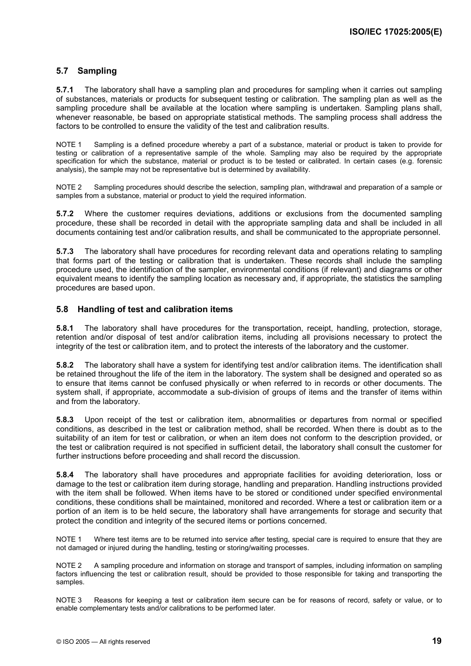# **5.7 Sampling**

**5.7.1** The laboratory shall have a sampling plan and procedures for sampling when it carries out sampling of substances, materials or products for subsequent testing or calibration. The sampling plan as well as the sampling procedure shall be available at the location where sampling is undertaken. Sampling plans shall, whenever reasonable, be based on appropriate statistical methods. The sampling process shall address the factors to be controlled to ensure the validity of the test and calibration results.

NOTE 1 Sampling is a defined procedure whereby a part of a substance, material or product is taken to provide for testing or calibration of a representative sample of the whole. Sampling may also be required by the appropriate specification for which the substance, material or product is to be tested or calibrated. In certain cases (e.g. forensic analysis), the sample may not be representative but is determined by availability.

NOTE 2 Sampling procedures should describe the selection, sampling plan, withdrawal and preparation of a sample or samples from a substance, material or product to yield the required information.

**5.7.2** Where the customer requires deviations, additions or exclusions from the documented sampling procedure, these shall be recorded in detail with the appropriate sampling data and shall be included in all documents containing test and/or calibration results, and shall be communicated to the appropriate personnel.

**5.7.3** The laboratory shall have procedures for recording relevant data and operations relating to sampling that forms part of the testing or calibration that is undertaken. These records shall include the sampling procedure used, the identification of the sampler, environmental conditions (if relevant) and diagrams or other equivalent means to identify the sampling location as necessary and, if appropriate, the statistics the sampling procedures are based upon.

# **5.8 Handling of test and calibration items**

**5.8.1** The laboratory shall have procedures for the transportation, receipt, handling, protection, storage, retention and/or disposal of test and/or calibration items, including all provisions necessary to protect the integrity of the test or calibration item, and to protect the interests of the laboratory and the customer.

**5.8.2** The laboratory shall have a system for identifying test and/or calibration items. The identification shall be retained throughout the life of the item in the laboratory. The system shall be designed and operated so as to ensure that items cannot be confused physically or when referred to in records or other documents. The system shall, if appropriate, accommodate a sub-division of groups of items and the transfer of items within and from the laboratory.

**5.8.3** Upon receipt of the test or calibration item, abnormalities or departures from normal or specified conditions, as described in the test or calibration method, shall be recorded. When there is doubt as to the suitability of an item for test or calibration, or when an item does not conform to the description provided, or the test or calibration required is not specified in sufficient detail, the laboratory shall consult the customer for further instructions before proceeding and shall record the discussion.

**5.8.4** The laboratory shall have procedures and appropriate facilities for avoiding deterioration, loss or damage to the test or calibration item during storage, handling and preparation. Handling instructions provided with the item shall be followed. When items have to be stored or conditioned under specified environmental conditions, these conditions shall be maintained, monitored and recorded. Where a test or calibration item or a portion of an item is to be held secure, the laboratory shall have arrangements for storage and security that protect the condition and integrity of the secured items or portions concerned.

NOTE 1 Where test items are to be returned into service after testing, special care is required to ensure that they are not damaged or injured during the handling, testing or storing/waiting processes.

NOTE 2 A sampling procedure and information on storage and transport of samples, including information on sampling factors influencing the test or calibration result, should be provided to those responsible for taking and transporting the samples.

NOTE 3 Reasons for keeping a test or calibration item secure can be for reasons of record, safety or value, or to enable complementary tests and/or calibrations to be performed later.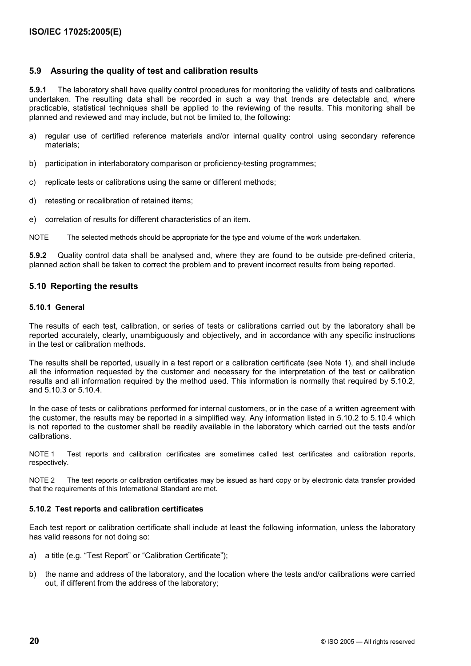# **5.9 Assuring the quality of test and calibration results**

**5.9.1** The laboratory shall have quality control procedures for monitoring the validity of tests and calibrations undertaken. The resulting data shall be recorded in such a way that trends are detectable and, where practicable, statistical techniques shall be applied to the reviewing of the results. This monitoring shall be planned and reviewed and may include, but not be limited to, the following:

- a) regular use of certified reference materials and/or internal quality control using secondary reference materials;
- b) participation in interlaboratory comparison or proficiency-testing programmes;
- c) replicate tests or calibrations using the same or different methods;
- d) retesting or recalibration of retained items;
- e) correlation of results for different characteristics of an item.

NOTE The selected methods should be appropriate for the type and volume of the work undertaken.

**5.9.2** Quality control data shall be analysed and, where they are found to be outside pre-defined criteria, planned action shall be taken to correct the problem and to prevent incorrect results from being reported.

# **5.10 Reporting the results**

# **5.10.1 General**

The results of each test, calibration, or series of tests or calibrations carried out by the laboratory shall be reported accurately, clearly, unambiguously and objectively, and in accordance with any specific instructions in the test or calibration methods.

The results shall be reported, usually in a test report or a calibration certificate (see Note 1), and shall include all the information requested by the customer and necessary for the interpretation of the test or calibration results and all information required by the method used. This information is normally that required by 5.10.2, and 5.10.3 or 5.10.4.

In the case of tests or calibrations performed for internal customers, or in the case of a written agreement with the customer, the results may be reported in a simplified way. Any information listed in 5.10.2 to 5.10.4 which is not reported to the customer shall be readily available in the laboratory which carried out the tests and/or calibrations.

NOTE 1 Test reports and calibration certificates are sometimes called test certificates and calibration reports, respectively.

NOTE 2 The test reports or calibration certificates may be issued as hard copy or by electronic data transfer provided that the requirements of this International Standard are met.

# **5.10.2 Test reports and calibration certificates**

Each test report or calibration certificate shall include at least the following information, unless the laboratory has valid reasons for not doing so:

- a) a title (e.g. "Test Report" or "Calibration Certificate");
- b) the name and address of the laboratory, and the location where the tests and/or calibrations were carried out, if different from the address of the laboratory;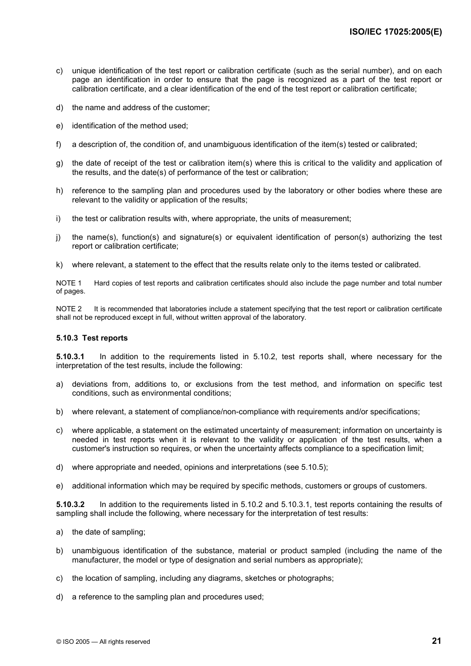- c) unique identification of the test report or calibration certificate (such as the serial number), and on each page an identification in order to ensure that the page is recognized as a part of the test report or calibration certificate, and a clear identification of the end of the test report or calibration certificate;
- d) the name and address of the customer;
- e) identification of the method used;
- f) a description of, the condition of, and unambiguous identification of the item(s) tested or calibrated;
- g) the date of receipt of the test or calibration item(s) where this is critical to the validity and application of the results, and the date(s) of performance of the test or calibration;
- h) reference to the sampling plan and procedures used by the laboratory or other bodies where these are relevant to the validity or application of the results;
- i) the test or calibration results with, where appropriate, the units of measurement;
- j) the name(s), function(s) and signature(s) or equivalent identification of person(s) authorizing the test report or calibration certificate;
- k) where relevant, a statement to the effect that the results relate only to the items tested or calibrated.

NOTE 1 Hard copies of test reports and calibration certificates should also include the page number and total number of pages.

NOTE 2 It is recommended that laboratories include a statement specifying that the test report or calibration certificate shall not be reproduced except in full, without written approval of the laboratory.

#### **5.10.3 Test reports**

**5.10.3.1** In addition to the requirements listed in 5.10.2, test reports shall, where necessary for the interpretation of the test results, include the following:

- a) deviations from, additions to, or exclusions from the test method, and information on specific test conditions, such as environmental conditions;
- b) where relevant, a statement of compliance/non-compliance with requirements and/or specifications;
- c) where applicable, a statement on the estimated uncertainty of measurement; information on uncertainty is needed in test reports when it is relevant to the validity or application of the test results, when a customer's instruction so requires, or when the uncertainty affects compliance to a specification limit;
- d) where appropriate and needed, opinions and interpretations (see 5.10.5);
- e) additional information which may be required by specific methods, customers or groups of customers.

**5.10.3.2** In addition to the requirements listed in 5.10.2 and 5.10.3.1, test reports containing the results of sampling shall include the following, where necessary for the interpretation of test results:

- a) the date of sampling;
- b) unambiguous identification of the substance, material or product sampled (including the name of the manufacturer, the model or type of designation and serial numbers as appropriate);
- c) the location of sampling, including any diagrams, sketches or photographs;
- d) a reference to the sampling plan and procedures used;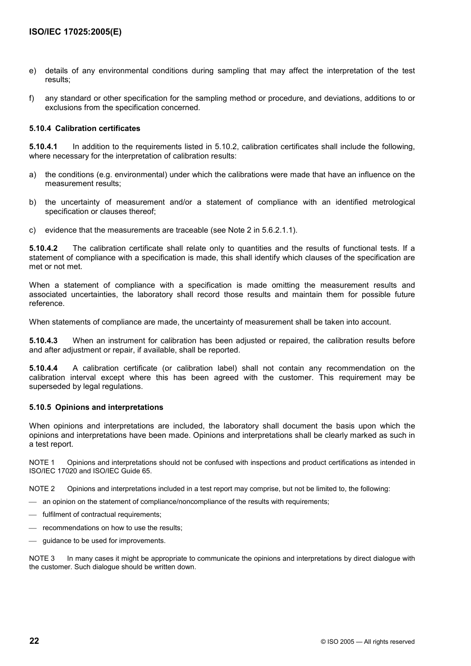- e) details of any environmental conditions during sampling that may affect the interpretation of the test results;
- f) any standard or other specification for the sampling method or procedure, and deviations, additions to or exclusions from the specification concerned.

# **5.10.4 Calibration certificates**

**5.10.4.1** In addition to the requirements listed in 5.10.2, calibration certificates shall include the following, where necessary for the interpretation of calibration results:

- a) the conditions (e.g. environmental) under which the calibrations were made that have an influence on the measurement results;
- b) the uncertainty of measurement and/or a statement of compliance with an identified metrological specification or clauses thereof;
- c) evidence that the measurements are traceable (see Note 2 in 5.6.2.1.1).

**5.10.4.2** The calibration certificate shall relate only to quantities and the results of functional tests. If a statement of compliance with a specification is made, this shall identify which clauses of the specification are met or not met.

When a statement of compliance with a specification is made omitting the measurement results and associated uncertainties, the laboratory shall record those results and maintain them for possible future reference.

When statements of compliance are made, the uncertainty of measurement shall be taken into account.

**5.10.4.3** When an instrument for calibration has been adjusted or repaired, the calibration results before and after adjustment or repair, if available, shall be reported.

**5.10.4.4** A calibration certificate (or calibration label) shall not contain any recommendation on the calibration interval except where this has been agreed with the customer. This requirement may be superseded by legal regulations.

#### **5.10.5 Opinions and interpretations**

When opinions and interpretations are included, the laboratory shall document the basis upon which the opinions and interpretations have been made. Opinions and interpretations shall be clearly marked as such in a test report.

NOTE 1 Opinions and interpretations should not be confused with inspections and product certifications as intended in ISO/IEC 17020 and ISO/IEC Guide 65.

NOTE 2 Opinions and interpretations included in a test report may comprise, but not be limited to, the following:

- an opinion on the statement of compliance/noncompliance of the results with requirements;
- fulfilment of contractual requirements;
- recommendations on how to use the results;
- guidance to be used for improvements.

NOTE 3 In many cases it might be appropriate to communicate the opinions and interpretations by direct dialogue with the customer. Such dialogue should be written down.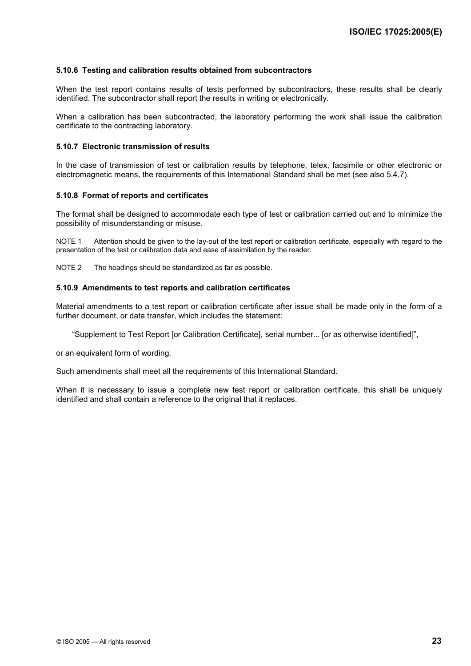#### **5.10.6 Testing and calibration results obtained from subcontractors**

When the test report contains results of tests performed by subcontractors, these results shall be clearly identified. The subcontractor shall report the results in writing or electronically.

When a calibration has been subcontracted, the laboratory performing the work shall issue the calibration certificate to the contracting laboratory.

#### **5.10.7 Electronic transmission of results**

In the case of transmission of test or calibration results by telephone, telex, facsimile or other electronic or electromagnetic means, the requirements of this International Standard shall be met (see also 5.4.7).

#### **5.10.8 Format of reports and certificates**

The format shall be designed to accommodate each type of test or calibration carried out and to minimize the possibility of misunderstanding or misuse.

NOTE 1 Attention should be given to the lay-out of the test report or calibration certificate, especially with regard to the presentation of the test or calibration data and ease of assimilation by the reader.

NOTE 2 The headings should be standardized as far as possible.

#### **5.10.9 Amendments to test reports and calibration certificates**

Material amendments to a test report or calibration certificate after issue shall be made only in the form of a further document, or data transfer, which includes the statement:

"Supplement to Test Report [or Calibration Certificate], serial number... [or as otherwise identified]",

or an equivalent form of wording.

Such amendments shall meet all the requirements of this International Standard.

When it is necessary to issue a complete new test report or calibration certificate, this shall be uniquely identified and shall contain a reference to the original that it replaces.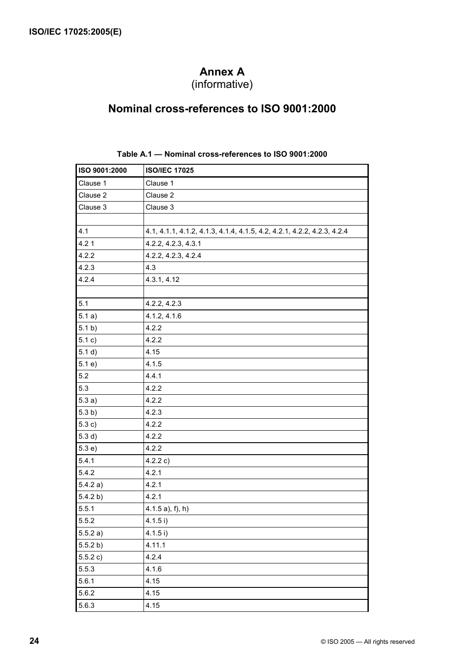# **Annex A**

(informative)

# **Nominal cross-references to ISO 9001:2000**

| ISO 9001:2000 | <b>ISO/IEC 17025</b>                                                    |
|---------------|-------------------------------------------------------------------------|
| Clause 1      | Clause 1                                                                |
| Clause 2      | Clause 2                                                                |
| Clause 3      | Clause 3                                                                |
|               |                                                                         |
| 4.1           | 4.1, 4.1.1, 4.1.2, 4.1.3, 4.1.4, 4.1.5, 4.2, 4.2.1, 4.2.2, 4.2.3, 4.2.4 |
| 4.21          | 4.2.2, 4.2.3, 4.3.1                                                     |
| 4.2.2         | 4.2.2, 4.2.3, 4.2.4                                                     |
| 4.2.3         | 4.3                                                                     |
| 4.2.4         | 4.3.1, 4.12                                                             |
|               |                                                                         |
| 5.1           | 4.2.2, 4.2.3                                                            |
| 5.1 a)        | 4.1.2, 4.1.6                                                            |
| 5.1 b)        | 4.2.2                                                                   |
| 5.1 c)        | 4.2.2                                                                   |
| 5.1 d)        | 4.15                                                                    |
| 5.1 e)        | 4.1.5                                                                   |
| 5.2           | 4.4.1                                                                   |
| 5.3           | 4.2.2                                                                   |
| 5.3a)         | 4.2.2                                                                   |
| 5.3 b)        | 4.2.3                                                                   |
| 5.3 c)        | 4.2.2                                                                   |
| 5.3 d)        | 4.2.2                                                                   |
| 5.3 e)        | 4.2.2                                                                   |
| 5.4.1         | 4.2.2 c)                                                                |
| 5.4.2         | 4.2.1                                                                   |
| 5.4.2 a)      | 4.2.1                                                                   |
| 5.4.2 b)      | 4.2.1                                                                   |
| 5.5.1         | $4.1.5 a$ , f), h)                                                      |
| 5.5.2         | 4.1.5 i)                                                                |
| 5.5.2a)       | 4.1.5 i)                                                                |
| 5.5.2 b)      | 4.11.1                                                                  |
| 5.5.2 c)      | 4.2.4                                                                   |
| 5.5.3         | 4.1.6                                                                   |
| 5.6.1         | 4.15                                                                    |
| 5.6.2         | 4.15                                                                    |
| 5.6.3         | 4.15                                                                    |

# **Table A.1 — Nominal cross-references to ISO 9001:2000**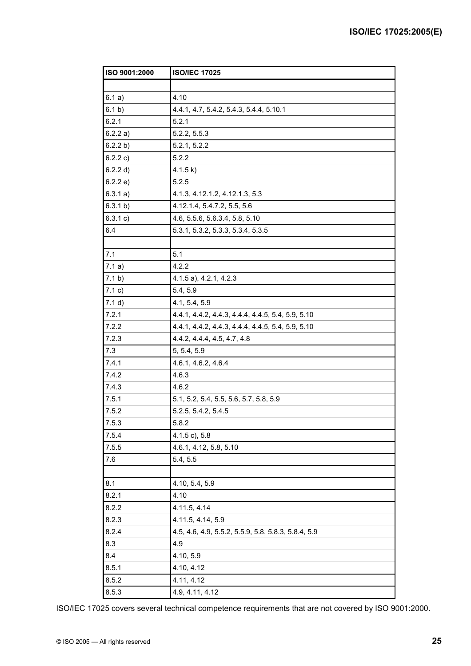| ISO 9001:2000 | <b>ISO/IEC 17025</b>                                |
|---------------|-----------------------------------------------------|
|               |                                                     |
| 6.1 a)        | 4.10                                                |
| 6.1 b)        | 4.4.1, 4.7, 5.4.2, 5.4.3, 5.4.4, 5.10.1             |
| 6.2.1         | 5.2.1                                               |
| 6.2.2 a)      | 5.2.2, 5.5.3                                        |
| 6.2.2 b)      | 5.2.1, 5.2.2                                        |
| 6.2.2 c)      | 5.2.2                                               |
| 6.2.2 d)      | 4.1.5 k)                                            |
| 6.2.2 e)      | 5.2.5                                               |
| 6.3.1 a)      | 4.1.3, 4.12.1.2, 4.12.1.3, 5.3                      |
| 6.3.1 b)      | 4.12.1.4, 5.4.7.2, 5.5, 5.6                         |
| 6.3.1 c)      | 4.6, 5.5.6, 5.6.3.4, 5.8, 5.10                      |
| 6.4           | 5.3.1, 5.3.2, 5.3.3, 5.3.4, 5.3.5                   |
|               |                                                     |
| 7.1           | 5.1                                                 |
| 7.1a)         | 4.2.2                                               |
| 7.1 b)        | 4.1.5 a), 4.2.1, 4.2.3                              |
| 7.1 c)        | 5.4, 5.9                                            |
| 7.1 d)        | 4.1, 5.4, 5.9                                       |
| 7.2.1         | 4.4.1, 4.4.2, 4.4.3, 4.4.4, 4.4.5, 5.4, 5.9, 5.10   |
| 7.2.2         | 4.4.1, 4.4.2, 4.4.3, 4.4.4, 4.4.5, 5.4, 5.9, 5.10   |
| 7.2.3         | 4.4.2, 4.4.4, 4.5, 4.7, 4.8                         |
| 7.3           | 5, 5.4, 5.9                                         |
| 7.4.1         | 4.6.1, 4.6.2, 4.6.4                                 |
| 7.4.2         | 4.6.3                                               |
| 7.4.3         | 4.6.2                                               |
| 7.5.1         | 5.1, 5.2, 5.4, 5.5, 5.6, 5.7, 5.8, 5.9              |
| 7.5.2         | 5.2.5, 5.4.2, 5.4.5                                 |
| 7.5.3         | 5.8.2                                               |
| 7.5.4         | $4.1.5 c$ , $5.8$                                   |
| 7.5.5         | 4.6.1, 4.12, 5.8, 5.10                              |
| 7.6           | 5.4, 5.5                                            |
|               |                                                     |
| 8.1           | 4.10, 5.4, 5.9                                      |
| 8.2.1         | 4.10                                                |
| 8.2.2         | 4.11.5, 4.14                                        |
| 8.2.3         | 4.11.5, 4.14, 5.9                                   |
| 8.2.4         | 4.5, 4.6, 4.9, 5.5.2, 5.5.9, 5.8, 5.8.3, 5.8.4, 5.9 |
| 8.3           | 4.9                                                 |
| 8.4           | 4.10, 5.9                                           |
| 8.5.1         | 4.10, 4.12                                          |
| 8.5.2         | 4.11, 4.12                                          |
| 8.5.3         | 4.9, 4.11, 4.12                                     |

ISO/IEC 17025 covers several technical competence requirements that are not covered by ISO 9001:2000.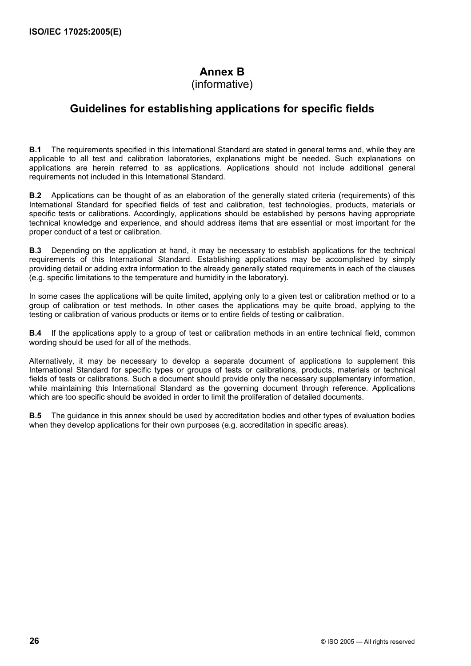# **Annex B**

# (informative)

# **Guidelines for establishing applications for specific fields**

**B.1** The requirements specified in this International Standard are stated in general terms and, while they are applicable to all test and calibration laboratories, explanations might be needed. Such explanations on applications are herein referred to as applications. Applications should not include additional general requirements not included in this International Standard.

**B.2** Applications can be thought of as an elaboration of the generally stated criteria (requirements) of this International Standard for specified fields of test and calibration, test technologies, products, materials or specific tests or calibrations. Accordingly, applications should be established by persons having appropriate technical knowledge and experience, and should address items that are essential or most important for the proper conduct of a test or calibration.

**B.3** Depending on the application at hand, it may be necessary to establish applications for the technical requirements of this International Standard. Establishing applications may be accomplished by simply providing detail or adding extra information to the already generally stated requirements in each of the clauses (e.g. specific limitations to the temperature and humidity in the laboratory).

In some cases the applications will be quite limited, applying only to a given test or calibration method or to a group of calibration or test methods. In other cases the applications may be quite broad, applying to the testing or calibration of various products or items or to entire fields of testing or calibration.

**B.4** If the applications apply to a group of test or calibration methods in an entire technical field, common wording should be used for all of the methods.

Alternatively, it may be necessary to develop a separate document of applications to supplement this International Standard for specific types or groups of tests or calibrations, products, materials or technical fields of tests or calibrations. Such a document should provide only the necessary supplementary information, while maintaining this International Standard as the governing document through reference. Applications which are too specific should be avoided in order to limit the proliferation of detailed documents.

**B.5** The guidance in this annex should be used by accreditation bodies and other types of evaluation bodies when they develop applications for their own purposes (e.g. accreditation in specific areas).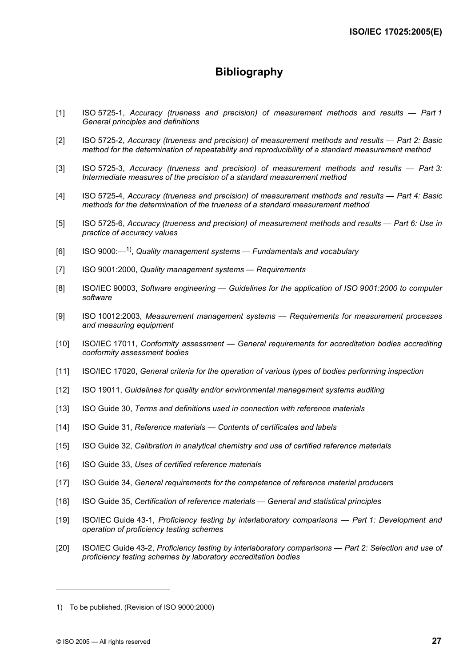# **Bibliography**

- [1] ISO 5725-1, *Accuracy (trueness and precision) of measurement methods and results Part 1 General principles and definitions*
- [2] ISO 5725-2, *Accuracy (trueness and precision) of measurement methods and results Part 2: Basic method for the determination of repeatability and reproducibility of a standard measurement method*
- [3] ISO 5725-3, *Accuracy (trueness and precision) of measurement methods and results Part 3: Intermediate measures of the precision of a standard measurement method*
- [4] ISO 5725-4, *Accuracy (trueness and precision) of measurement methods and results Part 4: Basic methods for the determination of the trueness of a standard measurement method*
- [5] ISO 5725-6, *Accuracy (trueness and precision) of measurement methods and results Part 6: Use in practice of accuracy values*
- [6] ISO 9000:—1), *Quality management systems Fundamentals and vocabulary*
- [7] ISO 9001:2000, *Quality management systems Requirements*
- [8] ISO/IEC 90003, *Software engineering Guidelines for the application of ISO 9001:2000 to computer software*
- [9] ISO 10012:2003, *Measurement management systems Requirements for measurement processes and measuring equipment*
- [10] ISO/IEC 17011, *Conformity assessment General requirements for accreditation bodies accrediting conformity assessment bodies*
- [11] ISO/IEC 17020, *General criteria for the operation of various types of bodies performing inspection*
- [12] ISO 19011, *Guidelines for quality and/or environmental management systems auditing*
- [13] ISO Guide 30, *Terms and definitions used in connection with reference materials*
- [14] ISO Guide 31, *Reference materials Contents of certificates and labels*
- [15] ISO Guide 32, *Calibration in analytical chemistry and use of certified reference materials*
- [16] ISO Guide 33, Uses of certified reference materials
- [17] ISO Guide 34, *General requirements for the competence of reference material producers*
- [18] ISO Guide 35, *Certification of reference materials General and statistical principles*
- [19] ISO/IEC Guide 43-1, *Proficiency testing by interlaboratory comparisons Part 1: Development and operation of proficiency testing schemes*
- [20] ISO/lEC Guide 43-2, *Proficiency testing by interlaboratory comparisons Part 2: Selection and use of proficiency testing schemes by laboratory accreditation bodies*

l

<sup>1)</sup> To be published. (Revision of ISO 9000:2000)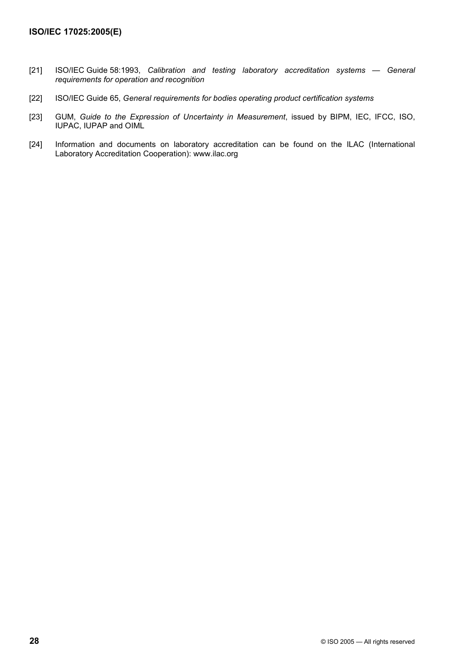- [21] ISO/IEC Guide 58:1993, *Calibration and testing laboratory accreditation systems General requirements for operation and recognition*
- [22] ISO/IEC Guide 65, *General requirements for bodies operating product certification systems*
- [23] GUM, *Guide to the Expression of Uncertainty in Measurement*, issued by BIPM, IEC, IFCC, ISO, IUPAC, IUPAP and OIML
- [24] Information and documents on laboratory accreditation can be found on the ILAC (International Laboratory Accreditation Cooperation): www.ilac.org